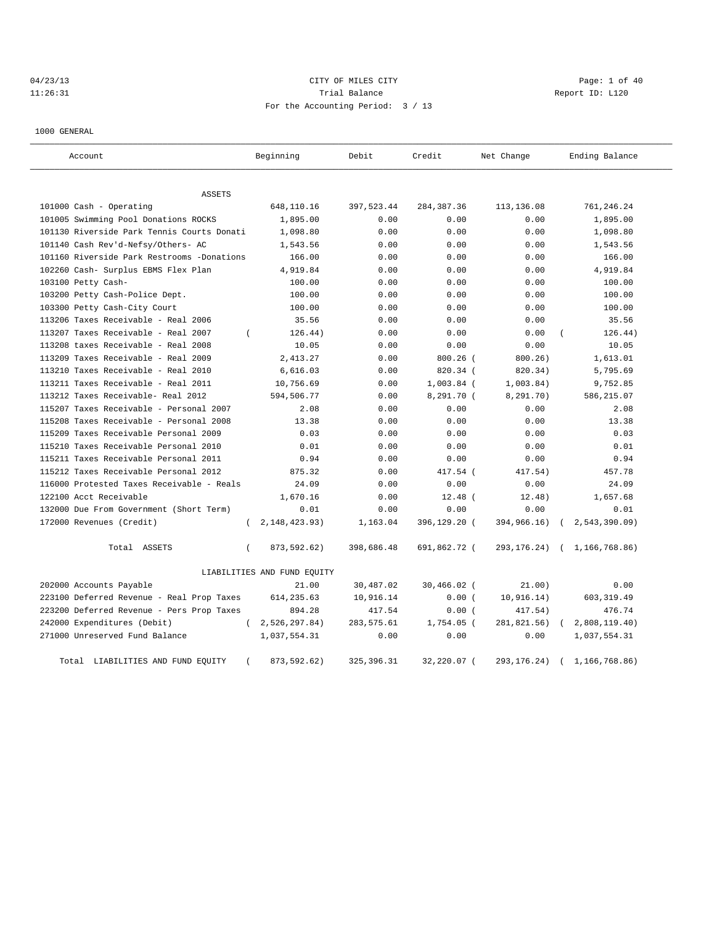# 04/23/13 CITY OF MILES CITY CHARGES CITY CONTROLLER Page: 1 of 40 11:26:31 Trial Balance Report ID: L120 For the Accounting Period: 3 / 13

1000 GENERAL

| Account                                    | Beginning                    | Debit       | Credit        | Net Change    | Ending Balance                   |
|--------------------------------------------|------------------------------|-------------|---------------|---------------|----------------------------------|
| <b>ASSETS</b>                              |                              |             |               |               |                                  |
| 101000 Cash - Operating                    | 648,110.16                   | 397,523.44  | 284, 387. 36  | 113,136.08    | 761,246.24                       |
| 101005 Swimming Pool Donations ROCKS       | 1,895.00                     | 0.00        | 0.00          | 0.00          | 1,895.00                         |
| 101130 Riverside Park Tennis Courts Donati | 1,098.80                     | 0.00        | 0.00          | 0.00          | 1,098.80                         |
| 101140 Cash Rev'd-Nefsy/Others- AC         | 1,543.56                     | 0.00        | 0.00          | 0.00          | 1,543.56                         |
| 101160 Riverside Park Restrooms -Donations | 166.00                       | 0.00        | 0.00          | 0.00          | 166.00                           |
| 102260 Cash- Surplus EBMS Flex Plan        | 4,919.84                     | 0.00        | 0.00          | 0.00          | 4,919.84                         |
| 103100 Petty Cash-                         | 100.00                       | 0.00        | 0.00          | 0.00          | 100.00                           |
| 103200 Petty Cash-Police Dept.             | 100.00                       | 0.00        | 0.00          | 0.00          | 100.00                           |
| 103300 Petty Cash-City Court               | 100.00                       | 0.00        | 0.00          | 0.00          | 100.00                           |
| 113206 Taxes Receivable - Real 2006        | 35.56                        | 0.00        | 0.00          | 0.00          | 35.56                            |
| 113207 Taxes Receivable - Real 2007        | 126.44)<br>$\left($          | 0.00        | 0.00          | 0.00          | 126.44)                          |
| 113208 taxes Receivable - Real 2008        | 10.05                        | 0.00        | 0.00          | 0.00          | 10.05                            |
| 113209 Taxes Receivable - Real 2009        | 2,413.27                     | 0.00        | $800.26$ (    | 800.26)       | 1,613.01                         |
| 113210 Taxes Receivable - Real 2010        | 6,616.03                     | 0.00        | 820.34 (      | 820.34)       | 5,795.69                         |
| 113211 Taxes Receivable - Real 2011        | 10,756.69                    | 0.00        | $1,003.84$ (  | 1,003.84)     | 9,752.85                         |
| 113212 Taxes Receivable- Real 2012         | 594,506.77                   | 0.00        | 8,291.70 (    | 8,291.70)     | 586,215.07                       |
| 115207 Taxes Receivable - Personal 2007    | 2.08                         | 0.00        | 0.00          | 0.00          | 2.08                             |
| 115208 Taxes Receivable - Personal 2008    | 13.38                        | 0.00        | 0.00          | 0.00          | 13.38                            |
| 115209 Taxes Receivable Personal 2009      | 0.03                         | 0.00        | 0.00          | 0.00          | 0.03                             |
| 115210 Taxes Receivable Personal 2010      | 0.01                         | 0.00        | 0.00          | 0.00          | 0.01                             |
| 115211 Taxes Receivable Personal 2011      | 0.94                         | 0.00        | 0.00          | 0.00          | 0.94                             |
| 115212 Taxes Receivable Personal 2012      | 875.32                       | 0.00        | 417.54 (      | 417.54)       | 457.78                           |
| 116000 Protested Taxes Receivable - Reals  | 24.09                        | 0.00        | 0.00          | 0.00          | 24.09                            |
| 122100 Acct Receivable                     | 1,670.16                     | 0.00        | $12.48$ (     | 12.48)        | 1,657.68                         |
| 132000 Due From Government (Short Term)    | 0.01                         | 0.00        | 0.00          | 0.00          | 0.01                             |
| 172000 Revenues (Credit)                   | 2, 148, 423. 93)<br>$\left($ | 1,163.04    | 396,129.20 (  | 394,966.16)   | 2,543,390.09                     |
| Total ASSETS                               | 873,592.62)<br>$\left($      | 398,686.48  | 691,862.72 (  |               | 293, 176. 24) ( 1, 166, 768. 86) |
|                                            | LIABILITIES AND FUND EQUITY  |             |               |               |                                  |
| 202000 Accounts Payable                    | 21.00                        | 30,487.02   | $30,466.02$ ( | 21.00)        | 0.00                             |
| 223100 Deferred Revenue - Real Prop Taxes  | 614, 235.63                  | 10,916.14   | 0.00(         | 10, 916.14)   | 603, 319.49                      |
| 223200 Deferred Revenue - Pers Prop Taxes  | 894.28                       | 417.54      | 0.00(         | 417.54)       | 476.74                           |
| 242000 Expenditures (Debit)                | 2,526,297.84)<br>$\sqrt{2}$  | 283,575.61  | $1,754.05$ (  | 281,821.56)   | 2,808,119.40)<br>$\left($        |
| 271000 Unreserved Fund Balance             | 1,037,554.31                 | 0.00        | 0.00          | 0.00          | 1,037,554.31                     |
| Total LIABILITIES AND FUND EQUITY          | 873,592.62)<br>$\left($      | 325, 396.31 | 32,220.07 (   | 293, 176. 24) | 1,166,768.86)<br>$\left($        |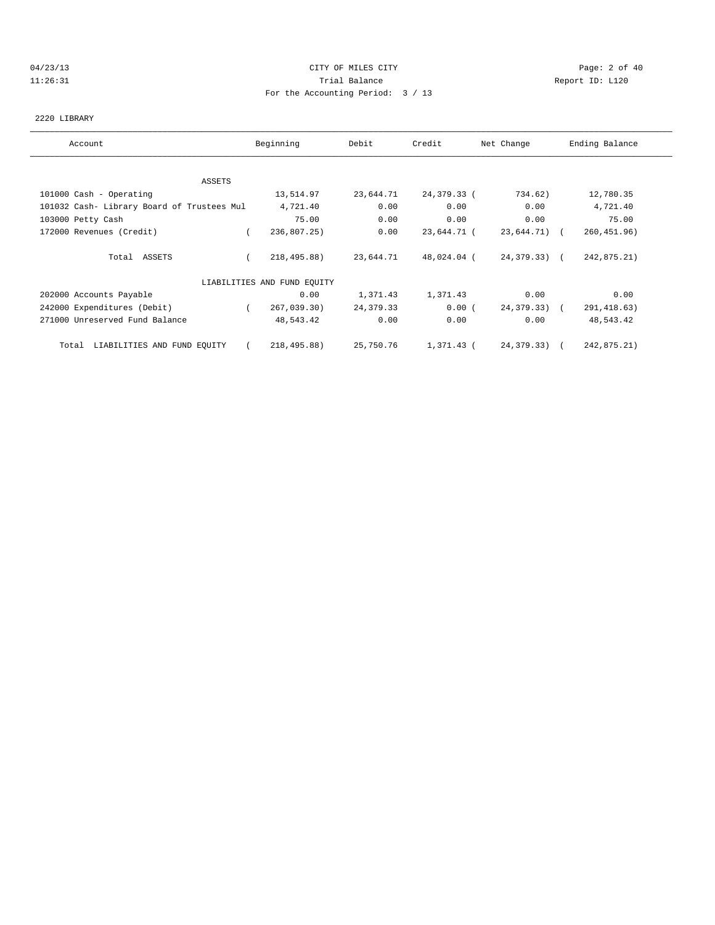#### 04/23/13 Page: 2 of 40 11:26:31 Trial Balance Report ID: L120 For the Accounting Period: 3 / 13

#### 2220 LIBRARY

| Account                                    | Beginning                   | Debit     | Credit      | Net Change   | Ending Balance |
|--------------------------------------------|-----------------------------|-----------|-------------|--------------|----------------|
|                                            |                             |           |             |              |                |
| ASSETS                                     |                             |           |             |              |                |
| 101000 Cash - Operating                    | 13,514.97                   | 23,644.71 | 24,379.33 ( | 734.62)      | 12,780.35      |
| 101032 Cash- Library Board of Trustees Mul | 4,721.40                    | 0.00      | 0.00        | 0.00         | 4,721.40       |
| 103000 Petty Cash                          | 75.00                       | 0.00      | 0.00        | 0.00         | 75.00          |
| 172000 Revenues (Credit)                   | 236,807.25)                 | 0.00      | 23,644.71 ( | 23,644.71) ( | 260, 451.96)   |
| Total ASSETS                               | 218,495.88)                 | 23,644.71 | 48,024.04 ( | 24,379.33) ( | 242,875.21)    |
|                                            | LIABILITIES AND FUND EQUITY |           |             |              |                |
| 202000 Accounts Payable                    | 0.00                        | 1,371.43  | 1,371.43    | 0.00         | 0.00           |
| 242000 Expenditures (Debit)                | 267,039.30)<br>$\sqrt{2}$   | 24,379.33 | 0.00(       | 24,379.33) ( | 291, 418.63)   |
| 271000 Unreserved Fund Balance             | 48,543.42                   | 0.00      | 0.00        | 0.00         | 48,543.42      |
| Total LIABILITIES AND FUND EQUITY          | 218,495.88)                 | 25,750.76 | 1,371.43 (  | 24,379.33) ( | 242,875.21)    |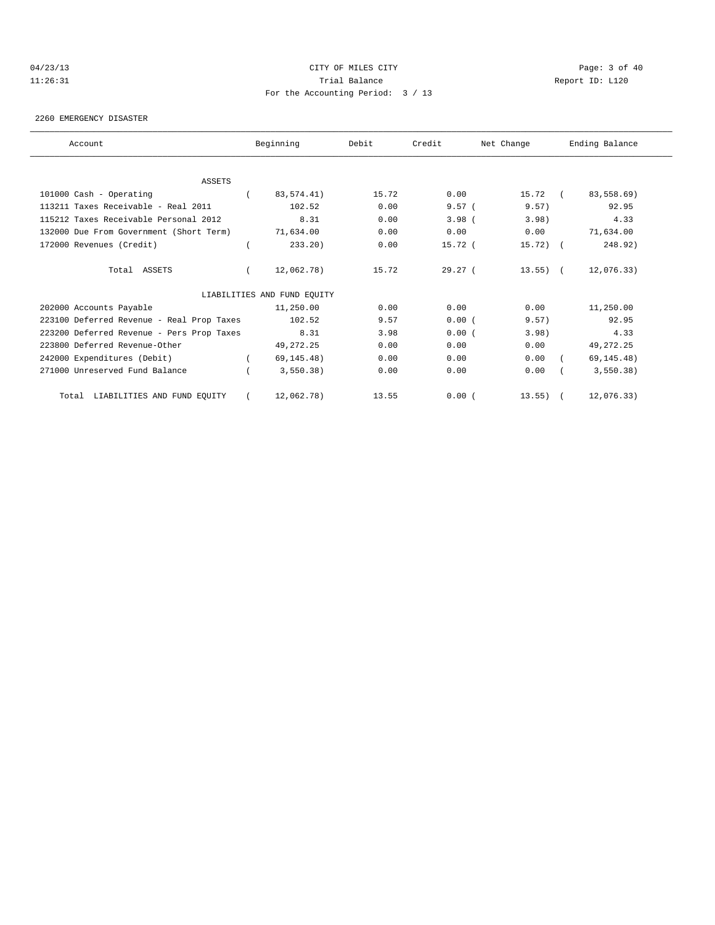#### 04/23/13 Page: 3 of 40 11:26:31 Trial Balance Report ID: L120 For the Accounting Period: 3 / 13

#### 2260 EMERGENCY DISASTER

| Account                                   | Beginning                   | Debit | Credit    | Net Change  |                     | Ending Balance |
|-------------------------------------------|-----------------------------|-------|-----------|-------------|---------------------|----------------|
|                                           |                             |       |           |             |                     |                |
| ASSETS                                    |                             |       |           |             |                     |                |
| 101000 Cash - Operating                   | 83,574.41)                  | 15.72 | 0.00      | 15.72       | $\sim$ 0.000 $\sim$ | 83,558.69)     |
| 113211 Taxes Receivable - Real 2011       | 102.52                      | 0.00  | $9.57$ (  | 9.57)       |                     | 92.95          |
| 115212 Taxes Receivable Personal 2012     | 8.31                        | 0.00  | 3.98(     | 3.98        |                     | 4.33           |
| 132000 Due From Government (Short Term)   | 71,634.00                   | 0.00  | 0.00      | 0.00        |                     | 71,634.00      |
| 172000 Revenues (Credit)                  | 233.20                      | 0.00  | $15.72$ ( | $15.72$ ) ( |                     | 248.92)        |
| Total ASSETS                              | 12,062.78)                  | 15.72 | 29.27(    | $13.55)$ (  |                     | 12,076.33)     |
|                                           | LIABILITIES AND FUND EQUITY |       |           |             |                     |                |
| 202000 Accounts Payable                   | 11,250.00                   | 0.00  | 0.00      | 0.00        |                     | 11,250.00      |
| 223100 Deferred Revenue - Real Prop Taxes | 102.52                      | 9.57  | 0.00(     | 9.57)       |                     | 92.95          |
| 223200 Deferred Revenue - Pers Prop Taxes | 8.31                        | 3.98  | 0.00(     | 3.98)       |                     | 4.33           |
| 223800 Deferred Revenue-Other             | 49, 272. 25                 | 0.00  | 0.00      | 0.00        |                     | 49, 272. 25    |
| 242000 Expenditures (Debit)               | 69, 145.48)                 | 0.00  | 0.00      | 0.00        |                     | 69, 145.48)    |
| 271000 Unreserved Fund Balance            | 3,550.38)                   | 0.00  | 0.00      | 0.00        |                     | 3,550.38)      |
| LIABILITIES AND FUND EQUITY<br>Total      | 12,062.78)                  | 13.55 | 0.00(     | $13.55$ ) ( |                     | 12,076.33)     |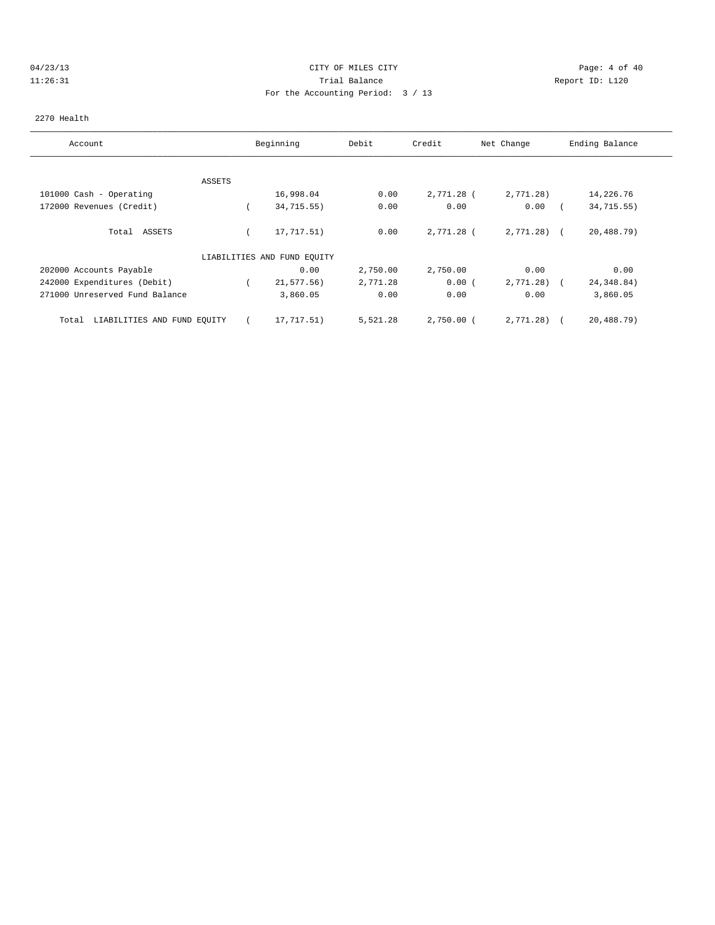# 04/23/13 Page: 4 of 40 11:26:31 Trial Balance Report ID: L120 For the Accounting Period: 3 / 13

#### 2270 Health

| Account                              | Beginning                   | Debit    | Credit       | Net Change   | Ending Balance |
|--------------------------------------|-----------------------------|----------|--------------|--------------|----------------|
|                                      |                             |          |              |              |                |
| ASSETS                               |                             |          |              |              |                |
| 101000 Cash - Operating              | 16,998.04                   | 0.00     | 2,771.28 (   | 2,771.28)    | 14,226.76      |
| 172000 Revenues (Credit)             | 34,715.55)                  | 0.00     | 0.00         | 0.00         | 34,715.55)     |
| ASSETS<br>Total                      | 17,717.51)                  | 0.00     | 2,771.28 (   | $2,771.28$ ( | 20,488.79)     |
|                                      | LIABILITIES AND FUND EQUITY |          |              |              |                |
| 202000 Accounts Payable              | 0.00                        | 2,750.00 | 2,750.00     | 0.00         | 0.00           |
| 242000 Expenditures (Debit)          | 21,577.56)                  | 2,771.28 | 0.00(        | 2,771.28)    | 24, 348.84)    |
| 271000 Unreserved Fund Balance       | 3,860.05                    | 0.00     | 0.00         | 0.00         | 3,860.05       |
| LIABILITIES AND FUND EQUITY<br>Total | 17,717.51)                  | 5,521.28 | $2,750.00$ ( | 2,771.28)    | 20,488.79)     |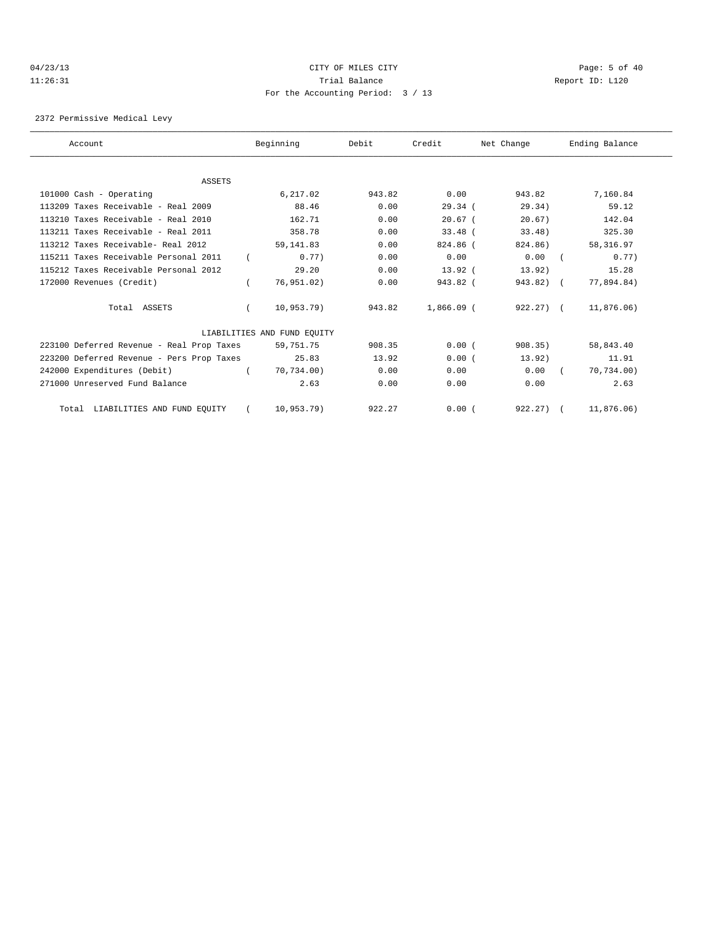#### 04/23/13 Page: 5 of 40 11:26:31 Trial Balance Report ID: L120 For the Accounting Period: 3 / 13

2372 Permissive Medical Levy

| Account                                   | Beginning                   | Debit  | Credit       | Net Change   | Ending Balance |
|-------------------------------------------|-----------------------------|--------|--------------|--------------|----------------|
|                                           |                             |        |              |              |                |
| <b>ASSETS</b>                             |                             |        |              |              |                |
| 101000 Cash - Operating                   | 6.217.02                    | 943.82 | 0.00         | 943.82       | 7,160.84       |
| $113209$ Taxes Receivable - Real $2009$   | 88.46                       | 0.00   | 29.34(       | 29.34)       | 59.12          |
| 113210 Taxes Receivable - Real 2010       | 162.71                      | 0.00   | $20.67$ (    | 20.67)       | 142.04         |
| 113211 Taxes Receivable - Real 2011       | 358.78                      | 0.00   | $33.48$ (    | $33.48$ )    | 325.30         |
| 113212 Taxes Receivable- Real 2012        | 59, 141.83                  | 0.00   | 824.86 (     | 824.86)      | 58,316.97      |
| 115211 Taxes Receivable Personal 2011     | 0.77)                       | 0.00   | 0.00         | 0.00         | 0.77           |
| 115212 Taxes Receivable Personal 2012     | 29.20                       | 0.00   | $13.92$ (    | 13.92)       | 15.28          |
| 172000 Revenues (Credit)                  | 76,951.02)                  | 0.00   | $943.82$ (   | $943.82$ ) ( | 77,894.84)     |
| Total ASSETS                              | 10,953.79)                  | 943.82 | $1,866.09$ ( | $922.27$ (   | 11,876.06)     |
|                                           | LIABILITIES AND FUND EQUITY |        |              |              |                |
| 223100 Deferred Revenue - Real Prop Taxes | 59,751.75                   | 908.35 | 0.00(        | 908.35)      | 58,843.40      |
| 223200 Deferred Revenue - Pers Prop Taxes | 25.83                       | 13.92  | 0.00(        | 13.92)       | 11.91          |
| 242000 Expenditures (Debit)               | 70.734.00)                  | 0.00   | 0.00         | 0.00         | 70,734.00)     |
| 271000 Unreserved Fund Balance            | 2.63                        | 0.00   | 0.00         | 0.00         | 2.63           |
| Total LIABILITIES AND FUND EQUITY         | 10.953.79                   | 922.27 | 0.00(        | $922.27$ (   | 11,876.06)     |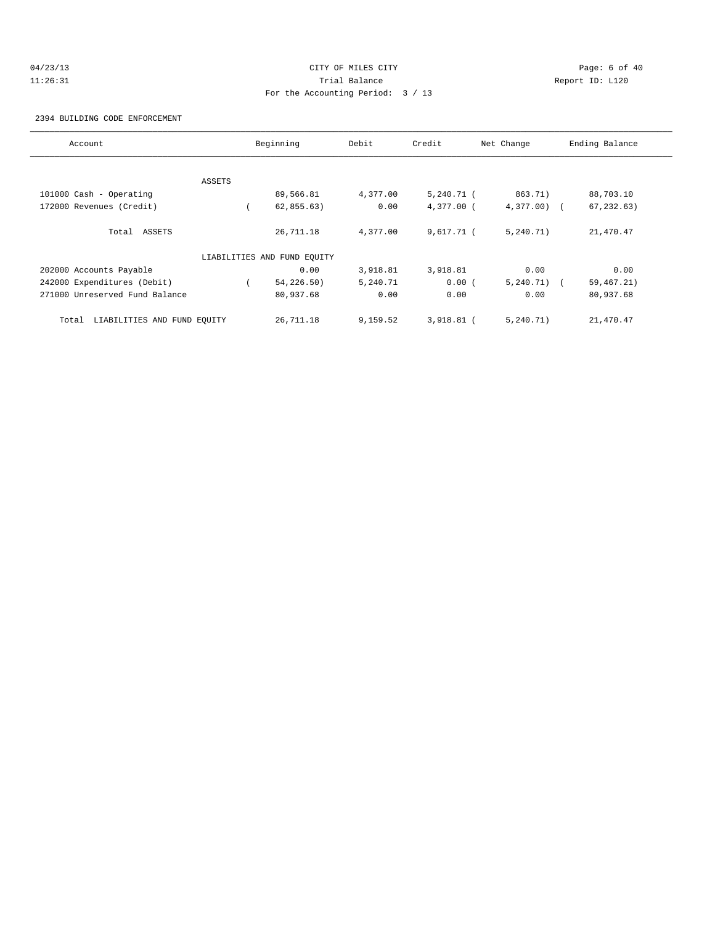# 04/23/13 Page: 6 of 40 11:26:31 Trial Balance Report ID: L120 For the Accounting Period: 3 / 13

2394 BUILDING CODE ENFORCEMENT

| Account                              |        | Beginning                   | Debit    | Credit       | Net Change   | Ending Balance |
|--------------------------------------|--------|-----------------------------|----------|--------------|--------------|----------------|
|                                      |        |                             |          |              |              |                |
|                                      | ASSETS |                             |          |              |              |                |
| 101000 Cash - Operating              |        | 89,566.81                   | 4,377.00 | $5,240.71$ ( | 863.71)      | 88,703.10      |
| 172000 Revenues (Credit)             |        | 62,855.63)                  | 0.00     | $4,377.00$ ( | $4,377.00$ ( | 67, 232.63)    |
| Total ASSETS                         |        | 26,711.18                   | 4,377.00 | $9,617.71$ ( | 5, 240.71)   | 21,470.47      |
|                                      |        | LIABILITIES AND FUND EQUITY |          |              |              |                |
| 202000 Accounts Payable              |        | 0.00                        | 3,918.81 | 3,918.81     | 0.00         | 0.00           |
| 242000 Expenditures (Debit)          |        | 54,226.50)                  | 5,240.71 | 0.00(        | $5,240.71$ ( | 59, 467. 21)   |
| 271000 Unreserved Fund Balance       |        | 80,937.68                   | 0.00     | 0.00         | 0.00         | 80,937.68      |
| LIABILITIES AND FUND EQUITY<br>Total |        | 26,711.18                   | 9,159.52 | 3,918.81 (   | 5, 240.71)   | 21,470.47      |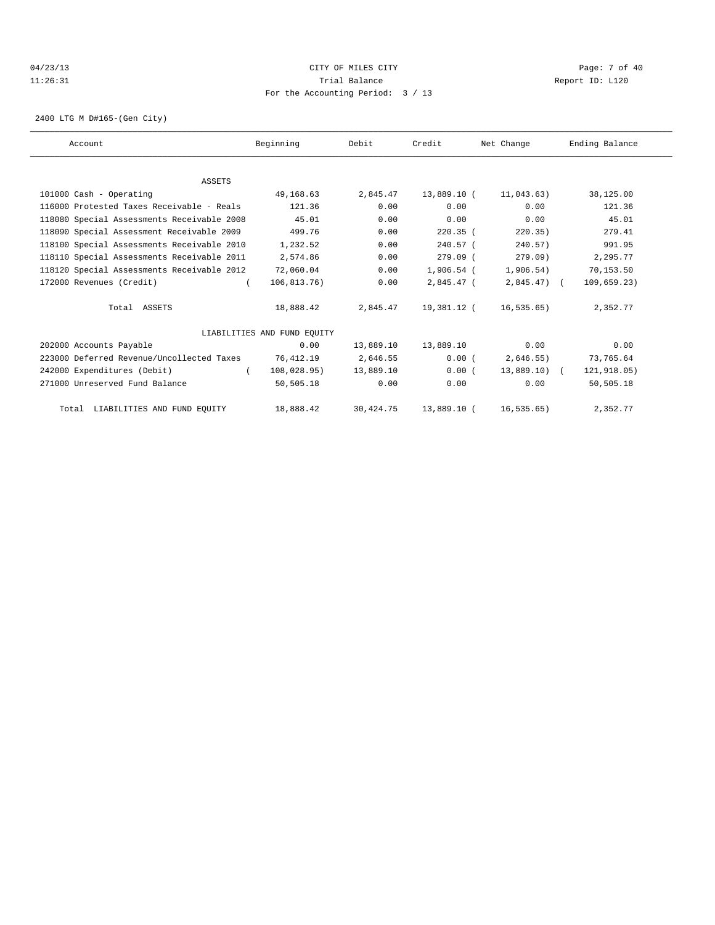# 04/23/13 Page: 7 of 40 11:26:31 Trial Balance Report ID: L120 For the Accounting Period: 3 / 13

2400 LTG M D#165-(Gen City)

| Account |                                            | Beginning                   | Debit     | Credit       | Net Change    | Ending Balance |
|---------|--------------------------------------------|-----------------------------|-----------|--------------|---------------|----------------|
|         |                                            |                             |           |              |               |                |
|         | ASSETS                                     |                             |           |              |               |                |
|         | 101000 Cash - Operating                    | 49,168.63                   | 2,845.47  | 13,889.10 (  | 11,043.63)    | 38,125.00      |
|         | 116000 Protested Taxes Receivable - Reals  | 121.36                      | 0.00      | 0.00         | 0.00          | 121.36         |
|         | 118080 Special Assessments Receivable 2008 | 45.01                       | 0.00      | 0.00         | 0.00          | 45.01          |
|         | 118090 Special Assessment Receivable 2009  | 499.76                      | 0.00      | $220.35$ (   | 220.35)       | 279.41         |
|         | 118100 Special Assessments Receivable 2010 | 1,232.52                    | 0.00      | $240.57$ (   | 240.57)       | 991.95         |
|         | 118110 Special Assessments Receivable 2011 | 2,574.86                    | 0.00      | $279.09$ (   | 279.09        | 2,295.77       |
|         | 118120 Special Assessments Receivable 2012 | 72,060.04                   | 0.00      | $1,906.54$ ( | 1,906.54)     | 70,153.50      |
|         | 172000 Revenues (Credit)                   | 106, 813, 76)               | 0.00      | 2,845.47 (   | $2,845.47$ (  | 109,659.23)    |
|         | Total ASSETS                               | 18,888.42                   | 2,845.47  | 19,381.12 (  | 16,535.65)    | 2,352.77       |
|         |                                            | LIABILITIES AND FUND EOUITY |           |              |               |                |
|         | 202000 Accounts Payable                    | 0.00                        | 13,889.10 | 13,889.10    | 0.00          | 0.00           |
|         | 223000 Deferred Revenue/Uncollected Taxes  | 76,412.19                   | 2,646.55  | 0.00(        | 2,646.55)     | 73,765.64      |
|         | 242000 Expenditures (Debit)<br>$\sqrt{2}$  | 108,028.95)                 | 13,889.10 | 0.00(        | $13,889.10$ ( | 121,918.05)    |
|         | 271000 Unreserved Fund Balance             | 50,505.18                   | 0.00      | 0.00         | 0.00          | 50,505.18      |
|         | Total LIABILITIES AND FUND EQUITY          | 18,888.42                   | 30,424.75 | 13,889.10 (  | 16, 535.65)   | 2,352.77       |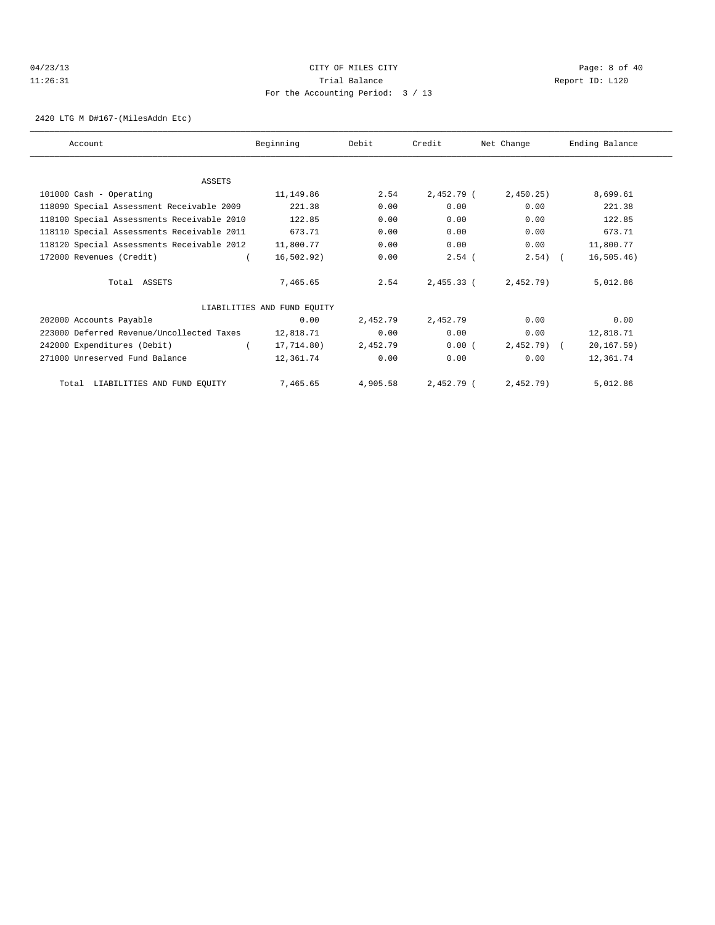# 04/23/13 Page: 8 of 40 11:26:31 Trial Balance Report ID: L120 For the Accounting Period: 3 / 13

2420 LTG M D#167-(MilesAddn Etc)

| Account                                    | Beginning                   | Debit    | Credit       | Net Change   | Ending Balance |
|--------------------------------------------|-----------------------------|----------|--------------|--------------|----------------|
|                                            |                             |          |              |              |                |
| <b>ASSETS</b>                              |                             |          |              |              |                |
| 101000 Cash - Operating                    | 11,149.86                   | 2.54     | 2,452.79 (   | 2,450.25     | 8,699.61       |
| 118090 Special Assessment Receivable 2009  | 221.38                      | 0.00     | 0.00         | 0.00         | 221.38         |
| 118100 Special Assessments Receivable 2010 | 122.85                      | 0.00     | 0.00         | 0.00         | 122.85         |
| 118110 Special Assessments Receivable 2011 | 673.71                      | 0.00     | 0.00         | 0.00         | 673.71         |
| 118120 Special Assessments Receivable 2012 | 11,800.77                   | 0.00     | 0.00         | 0.00         | 11,800.77      |
| 172000 Revenues (Credit)                   | 16, 502, 92)                | 0.00     | $2.54$ (     | $2.54$ ) (   | 16, 505.46)    |
| Total ASSETS                               | 7,465.65                    | 2.54     | $2.455.33$ ( | $2,452.79$ ) | 5,012.86       |
|                                            | LIABILITIES AND FUND EQUITY |          |              |              |                |
| 202000 Accounts Payable                    | 0.00                        | 2,452.79 | 2,452.79     | 0.00         | 0.00           |
| 223000 Deferred Revenue/Uncollected Taxes  | 12,818.71                   | 0.00     | 0.00         | 0.00         | 12,818.71      |
| 242000 Expenditures (Debit)                | 17,714.80)                  | 2,452.79 | 0.00(        | $2,452.79$ ( | 20, 167.59)    |
| 271000 Unreserved Fund Balance             | 12,361.74                   | 0.00     | 0.00         | 0.00         | 12,361.74      |
| Total LIABILITIES AND FUND EQUITY          | 7,465.65                    | 4,905.58 | 2,452.79 (   | 2,452.79)    | 5,012.86       |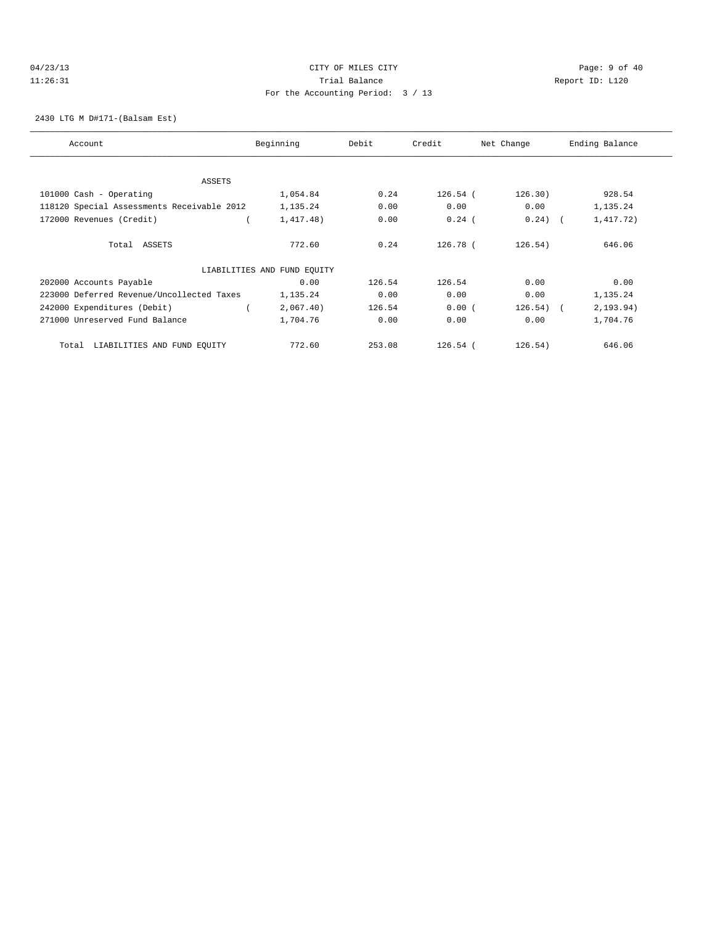# 04/23/13 Page: 9 of 40 11:26:31 Trial Balance Report ID: L120 For the Accounting Period: 3 / 13

#### 2430 LTG M D#171-(Balsam Est)

| Account                                    | Beginning                   | Debit  | Credit     | Net Change  | Ending Balance |
|--------------------------------------------|-----------------------------|--------|------------|-------------|----------------|
|                                            |                             |        |            |             |                |
| ASSETS                                     |                             |        |            |             |                |
| 101000 Cash - Operating                    | 1,054.84                    | 0.24   | $126.54$ ( | 126.30)     | 928.54         |
| 118120 Special Assessments Receivable 2012 | 1,135.24                    | 0.00   | 0.00       | 0.00        | 1,135.24       |
| 172000 Revenues (Credit)                   | 1,417.48)                   | 0.00   | $0.24$ (   | $0.24)$ (   | 1,417.72)      |
| Total ASSETS                               | 772.60                      | 0.24   | 126.78 (   | 126.54)     | 646.06         |
|                                            | LIABILITIES AND FUND EQUITY |        |            |             |                |
| 202000 Accounts Payable                    | 0.00                        | 126.54 | 126.54     | 0.00        | 0.00           |
| 223000 Deferred Revenue/Uncollected Taxes  | 1,135.24                    | 0.00   | 0.00       | 0.00        | 1,135.24       |
| 242000 Expenditures (Debit)                | 2,067.40)                   | 126.54 | 0.00(      | $126.54)$ ( | 2, 193.94)     |
| 271000 Unreserved Fund Balance             | 1,704.76                    | 0.00   | 0.00       | 0.00        | 1,704.76       |
| LIABILITIES AND FUND EQUITY<br>Total       | 772.60                      | 253.08 | $126.54$ ( | 126.54)     | 646.06         |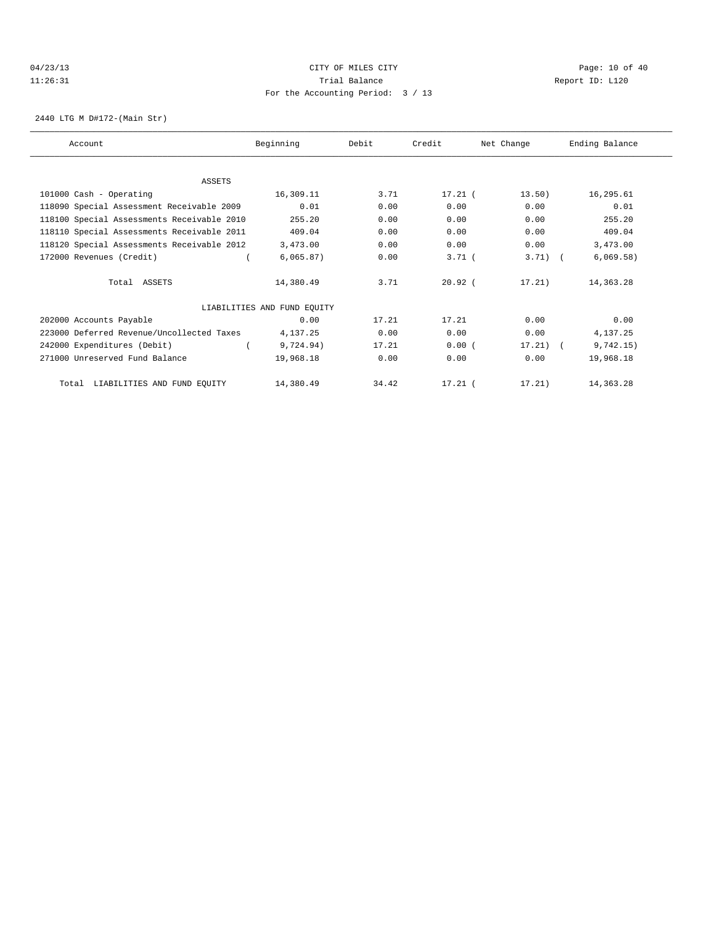# 04/23/13 Page: 10 of 40 11:26:31 Trial Balance Report ID: L120 For the Accounting Period: 3 / 13

2440 LTG M D#172-(Main Str)

| Account                                    | Beginning                   | Debit | Credit     | Net Change | Ending Balance |
|--------------------------------------------|-----------------------------|-------|------------|------------|----------------|
|                                            |                             |       |            |            |                |
| <b>ASSETS</b>                              |                             |       |            |            |                |
| 101000 Cash - Operating                    | 16,309.11                   | 3.71  | $17.21$ (  | 13.50)     | 16,295.61      |
| 118090 Special Assessment Receivable 2009  | 0.01                        | 0.00  | 0.00       | 0.00       | 0.01           |
| 118100 Special Assessments Receivable 2010 | 255.20                      | 0.00  | 0.00       | 0.00       | 255.20         |
| 118110 Special Assessments Receivable 2011 | 409.04                      | 0.00  | 0.00       | 0.00       | 409.04         |
| 118120 Special Assessments Receivable 2012 | 3,473.00                    | 0.00  | 0.00       | 0.00       | 3,473.00       |
| 172000 Revenues (Credit)                   | 6,065.87)                   | 0.00  | $3.71$ $($ | $3.71$ (   | 6,069.58)      |
| Total ASSETS                               | 14,380.49                   | 3.71  | $20.92$ (  | 17.21)     | 14,363.28      |
|                                            | LIABILITIES AND FUND EQUITY |       |            |            |                |
| 202000 Accounts Payable                    | 0.00                        | 17.21 | 17.21      | 0.00       | 0.00           |
| 223000 Deferred Revenue/Uncollected Taxes  | 4,137.25                    | 0.00  | 0.00       | 0.00       | 4,137.25       |
| 242000 Expenditures (Debit)                | 9,724.94)                   | 17.21 | 0.00(      | $17.21$ (  | 9,742.15)      |
| 271000 Unreserved Fund Balance             | 19,968.18                   | 0.00  | 0.00       | 0.00       | 19,968.18      |
| Total LIABILITIES AND FUND EQUITY          | 14,380.49                   | 34.42 | $17.21$ (  | 17.21)     | 14,363.28      |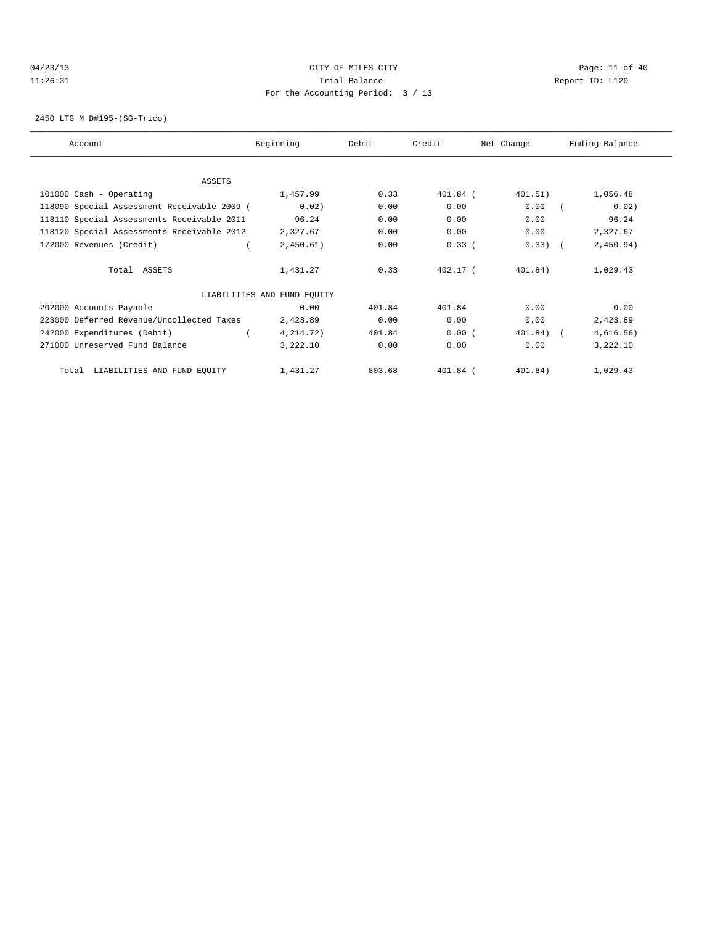# 04/23/13 Page: 11 of 40 11:26:31 Trial Balance Report ID: L120 For the Accounting Period: 3 / 13

2450 LTG M D#195-(SG-Trico)

| Account                                     | Beginning                   | Debit  | Credit     | Net Change | Ending Balance |
|---------------------------------------------|-----------------------------|--------|------------|------------|----------------|
|                                             |                             |        |            |            |                |
| ASSETS                                      |                             |        |            |            |                |
| 101000 Cash - Operating                     | 1,457.99                    | 0.33   | 401.84 (   | 401.51)    | 1,056.48       |
| 118090 Special Assessment Receivable 2009 ( | 0.02)                       | 0.00   | 0.00       | 0.00       | 0.02)          |
| 118110 Special Assessments Receivable 2011  | 96.24                       | 0.00   | 0.00       | 0.00       | 96.24          |
| 118120 Special Assessments Receivable 2012  | 2,327.67                    | 0.00   | 0.00       | 0.00       | 2,327.67       |
| 172000 Revenues (Credit)                    | 2,450.61)                   | 0.00   | 0.33(      | $0.33)$ (  | 2,450.94)      |
| Total ASSETS                                | 1,431.27                    | 0.33   | $402.17$ ( | 401.84)    | 1,029.43       |
|                                             | LIABILITIES AND FUND EQUITY |        |            |            |                |
| 202000 Accounts Payable                     | 0.00                        | 401.84 | 401.84     | 0.00       | 0.00           |
| 223000 Deferred Revenue/Uncollected Taxes   | 2,423.89                    | 0.00   | 0.00       | 0.00       | 2,423.89       |
| 242000 Expenditures (Debit)                 | 4,214.72)                   | 401.84 | 0.00(      | 401.84)    | 4,616.56)      |
| 271000 Unreserved Fund Balance              | 3,222.10                    | 0.00   | 0.00       | 0.00       | 3,222.10       |
| LIABILITIES AND FUND EQUITY<br>Total        | 1,431.27                    | 803.68 | 401.84 (   | 401.84)    | 1,029.43       |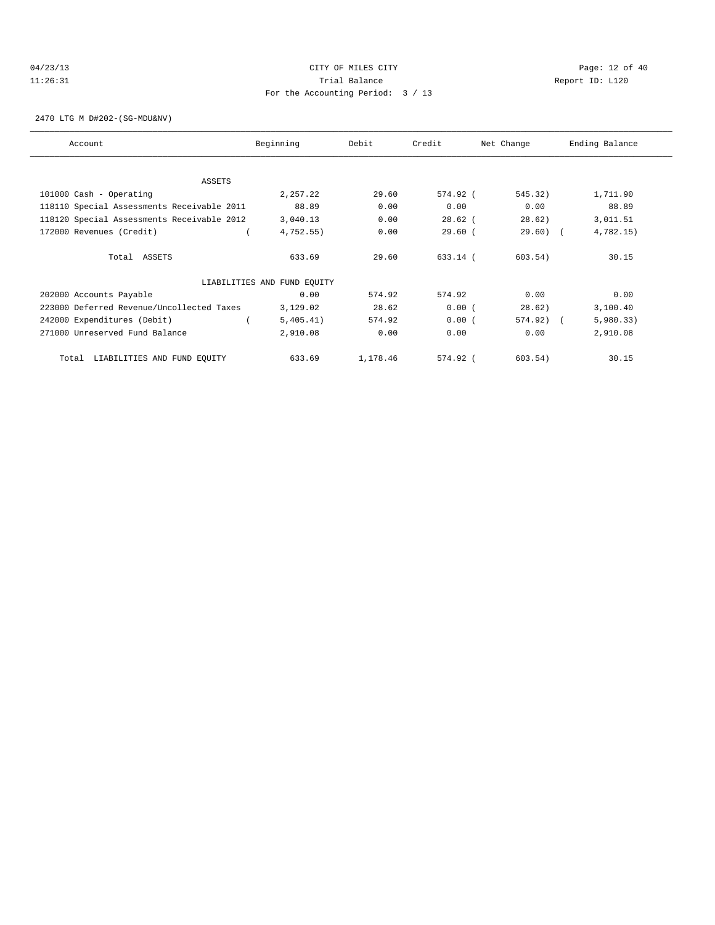# 04/23/13 Page: 12 of 40 11:26:31 Trial Balance Report ID: L120 For the Accounting Period: 3 / 13

2470 LTG M D#202-(SG-MDU&NV)

| Account                                    | Beginning                   | Debit    | Credit    | Net Change  | Ending Balance |
|--------------------------------------------|-----------------------------|----------|-----------|-------------|----------------|
|                                            |                             |          |           |             |                |
| ASSETS                                     |                             |          |           |             |                |
| 101000 Cash - Operating                    | 2,257.22                    | 29.60    | 574.92 (  | 545.32)     | 1,711.90       |
| 118110 Special Assessments Receivable 2011 | 88.89                       | 0.00     | 0.00      | 0.00        | 88.89          |
| 118120 Special Assessments Receivable 2012 | 3,040.13                    | 0.00     | $28.62$ ( | 28.62)      | 3,011.51       |
| 172000 Revenues (Credit)                   | 4,752.55)                   | 0.00     | 29.60(    | $29.60$ ) ( | 4,782.15)      |
| Total ASSETS                               | 633.69                      | 29.60    | 633.14 (  | 603.54)     | 30.15          |
|                                            | LIABILITIES AND FUND EQUITY |          |           |             |                |
| 202000 Accounts Payable                    | 0.00                        | 574.92   | 574.92    | 0.00        | 0.00           |
| 223000 Deferred Revenue/Uncollected Taxes  | 3,129.02                    | 28.62    | 0.00(     | 28.62)      | 3,100.40       |
| 242000 Expenditures (Debit)                | 5,405.41)                   | 574.92   | 0.00(     | 574.92) (   | 5,980.33)      |
| 271000 Unreserved Fund Balance             | 2,910.08                    | 0.00     | 0.00      | 0.00        | 2,910.08       |
| Total LIABILITIES AND FUND EQUITY          | 633.69                      | 1,178.46 | 574.92 (  | 603.54)     | 30.15          |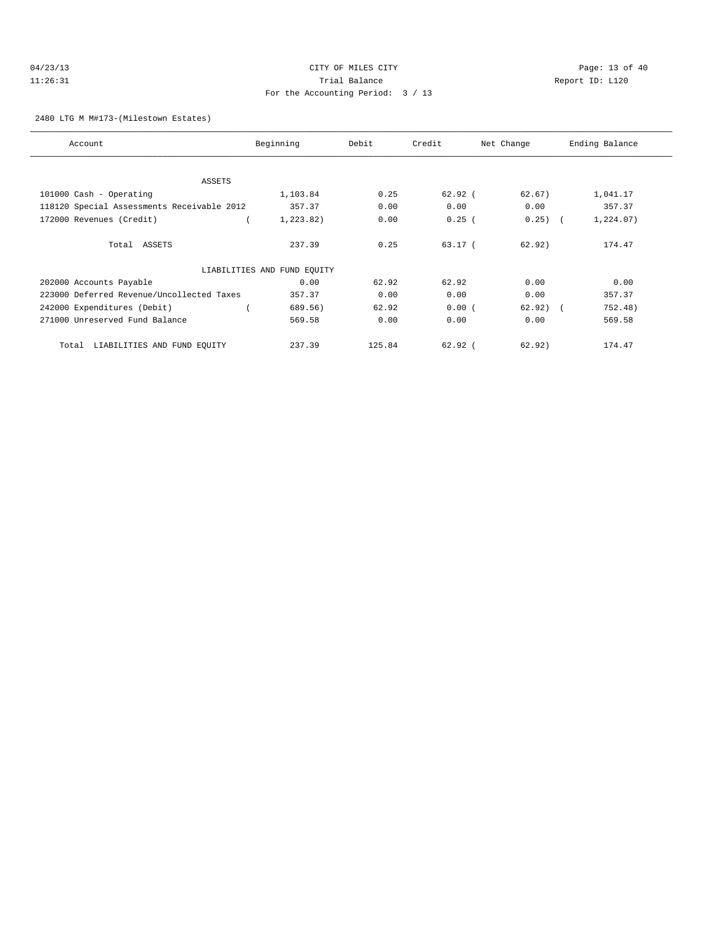| 04/23/13 |  |
|----------|--|
| 11:26:31 |  |

# CITY OF MILES CITY CONTROL CONTROL CONTROL CONTROL CONTROL PAGE: 13 of 40 11:31 Balance Trial Balance Report ID: L120 For the Accounting Period: 3 / 13

#### 2480 LTG M M#173-(Milestown Estates)

| Account                                    | Beginning                   | Debit  | Credit      | Net Change | Ending Balance |
|--------------------------------------------|-----------------------------|--------|-------------|------------|----------------|
|                                            |                             |        |             |            |                |
| <b>ASSETS</b>                              |                             |        |             |            |                |
| 101000 Cash - Operating                    | 1,103.84                    | 0.25   | 62.92(      | 62.67)     | 1,041.17       |
| 118120 Special Assessments Receivable 2012 | 357.37                      | 0.00   | 0.00        | 0.00       | 357.37         |
| 172000 Revenues (Credit)                   | 1,223.82)                   | 0.00   | 0.25(       | $0.25)$ (  | 1, 224.07)     |
| Total ASSETS                               | 237.39                      | 0.25   | 63.17 (     | 62.92)     | 174.47         |
|                                            | LIABILITIES AND FUND EQUITY |        |             |            |                |
| 202000 Accounts Payable                    | 0.00                        | 62.92  | 62.92       | 0.00       | 0.00           |
| 223000 Deferred Revenue/Uncollected Taxes  | 357.37                      | 0.00   | 0.00        | 0.00       | 357.37         |
| 242000 Expenditures (Debit)                | 689.56)                     | 62.92  | 0.00(       | $62.92)$ ( | 752.48)        |
| 271000 Unreserved Fund Balance             | 569.58                      | 0.00   | 0.00        | 0.00       | 569.58         |
| LIABILITIES AND FUND EQUITY<br>Total       | 237.39                      | 125.84 | $62.92$ $($ | 62.92)     | 174.47         |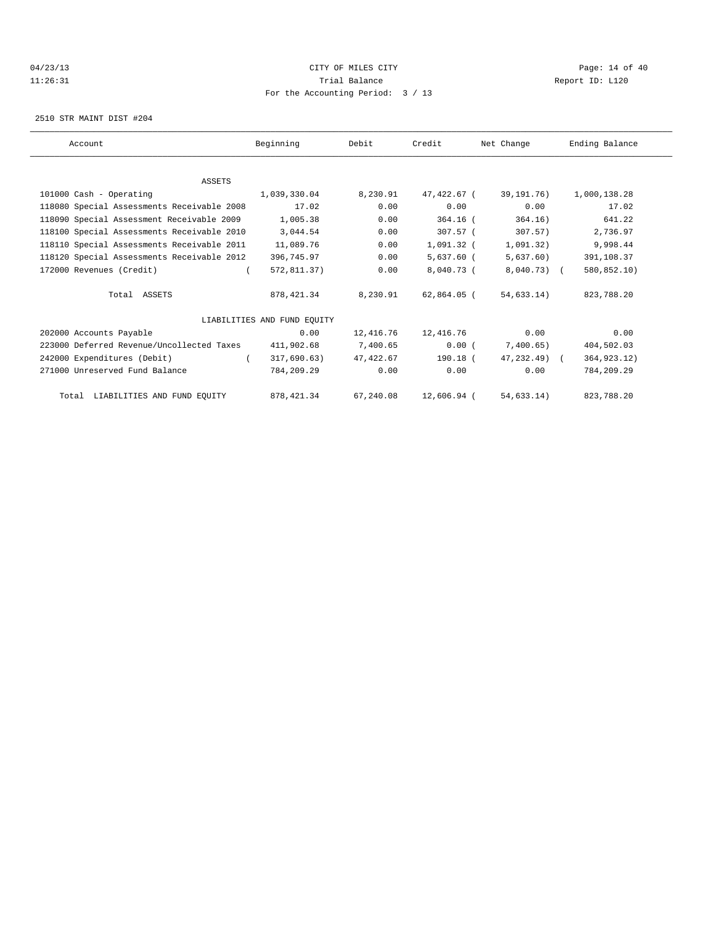#### $04/23/13$  Page: 14 of 40 11:26:31 Trial Balance Report ID: L120 For the Accounting Period: 3 / 13

2510 STR MAINT DIST #204

| Account                                    | Beginning                   | Debit     | Credit       | Net Change    | Ending Balance |
|--------------------------------------------|-----------------------------|-----------|--------------|---------------|----------------|
|                                            |                             |           |              |               |                |
|                                            |                             |           |              |               |                |
| <b>ASSETS</b>                              |                             |           |              |               |                |
| 101000 Cash - Operating                    | 1,039,330.04                | 8,230.91  | 47,422.67 (  | 39,191,76)    | 1,000,138.28   |
| 118080 Special Assessments Receivable 2008 | 17.02                       | 0.00      | 0.00         | 0.00          | 17.02          |
| 118090 Special Assessment Receivable 2009  | 1,005.38                    | 0.00      | 364.16 (     | 364.16)       | 641.22         |
| 118100 Special Assessments Receivable 2010 | 3,044.54                    | 0.00      | 307.57 (     | 307.57)       | 2,736.97       |
| 118110 Special Assessments Receivable 2011 | 11,089.76                   | 0.00      | 1,091.32 (   | 1,091.32)     | 9,998.44       |
| 118120 Special Assessments Receivable 2012 | 396,745.97                  | 0.00      | $5,637.60$ ( | 5,637.60)     | 391,108.37     |
| 172000 Revenues (Credit)                   | 572,811.37)                 | 0.00      | 8,040.73 (   | $8,040.73$ (  | 580,852.10)    |
| Total ASSETS                               | 878, 421.34                 | 8,230.91  | 62,864.05 (  | 54,633.14)    | 823,788.20     |
|                                            | LIABILITIES AND FUND EOUITY |           |              |               |                |
| 202000 Accounts Payable                    | 0.00                        | 12,416.76 | 12,416.76    | 0.00          | 0.00           |
| 223000 Deferred Revenue/Uncollected Taxes  | 411,902.68                  | 7,400.65  | 0.00(        | 7,400.65)     | 404,502.03     |
| 242000 Expenditures (Debit)                | 317,690.63)                 | 47,422.67 | 190.18 (     | $47.232.49$ ( | 364, 923. 12)  |
| 271000 Unreserved Fund Balance             | 784,209.29                  | 0.00      | 0.00         | 0.00          | 784,209.29     |
| Total LIABILITIES AND FUND EQUITY          | 878,421.34                  | 67,240.08 | 12,606.94 (  | 54,633.14)    | 823,788.20     |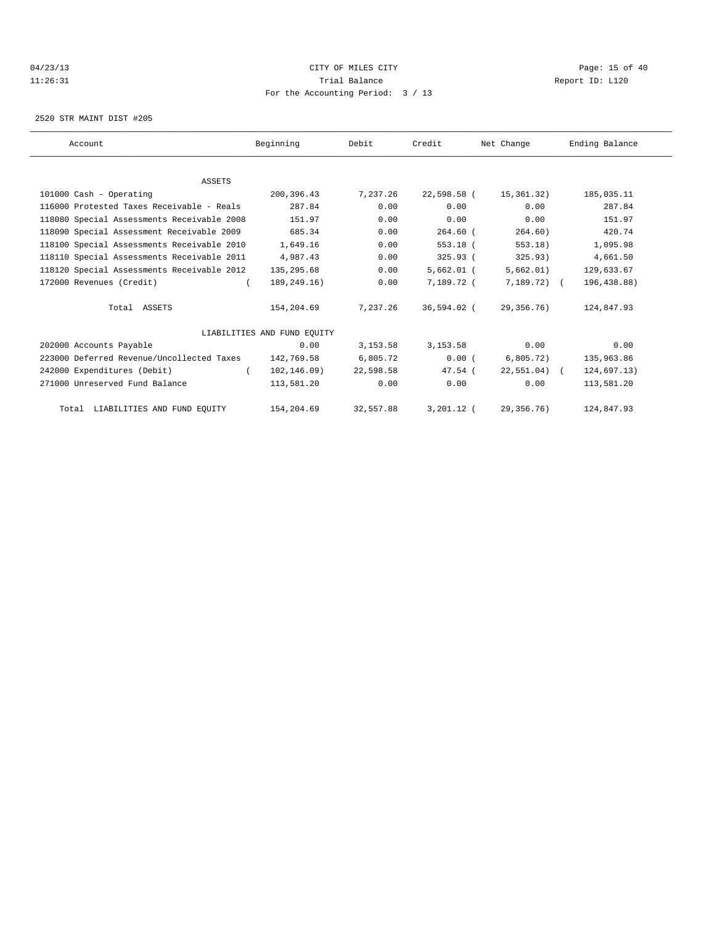# 04/23/13 Page: 15 of 40 11:26:31 Trial Balance Report ID: L120 For the Accounting Period: 3 / 13

2520 STR MAINT DIST #205

| Account                                    | Beginning                   | Debit     | Credit       | Net Change     | Ending Balance |  |
|--------------------------------------------|-----------------------------|-----------|--------------|----------------|----------------|--|
|                                            |                             |           |              |                |                |  |
| <b>ASSETS</b>                              |                             |           |              |                |                |  |
| 101000 Cash - Operating                    | 200,396.43                  | 7,237.26  | 22,598.58 (  | 15,361.32)     | 185,035.11     |  |
| 116000 Protested Taxes Receivable - Reals  | 287.84                      | 0.00      | 0.00         | 0.00           | 287.84         |  |
| 118080 Special Assessments Receivable 2008 | 151.97                      | 0.00      | 0.00         | 0.00           | 151.97         |  |
| 118090 Special Assessment Receivable 2009  | 685.34                      | 0.00      | $264.60$ (   | 264.60)        | 420.74         |  |
| 118100 Special Assessments Receivable 2010 | 1,649.16                    | 0.00      | $553.18$ (   | 553.18)        | 1,095.98       |  |
| 118110 Special Assessments Receivable 2011 | 4,987.43                    | 0.00      | 325.93(      | 325.93)        | 4,661.50       |  |
| 118120 Special Assessments Receivable 2012 | 135,295.68                  | 0.00      | $5,662.01$ ( | 5,662.01)      | 129,633.67     |  |
| 172000 Revenues (Credit)                   | 189,249.16)                 | 0.00      | 7,189.72 (   | $7,189.72$ ) ( | 196,438.88)    |  |
| Total ASSETS                               | 154,204.69                  | 7.237.26  | 36,594.02 (  | 29,356.76)     | 124,847.93     |  |
|                                            | LIABILITIES AND FUND EOUITY |           |              |                |                |  |
| 202000 Accounts Payable                    | 0.00                        | 3, 153.58 | 3, 153.58    | 0.00           | 0.00           |  |
| 223000 Deferred Revenue/Uncollected Taxes  | 142,769.58                  | 6,805.72  | 0.00(        | 6,805.72)      | 135,963.86     |  |
| 242000 Expenditures (Debit)                | 102, 146.09<br>$\left($     | 22,598.58 | $47.54$ (    | $22,551.04$ (  | 124,697.13)    |  |
| 271000 Unreserved Fund Balance             | 113,581.20                  | 0.00      | 0.00         | 0.00           | 113,581.20     |  |
| Total LIABILITIES AND FUND EQUITY          | 154,204.69                  | 32,557.88 | $3,201.12$ ( | 29,356.76)     | 124,847.93     |  |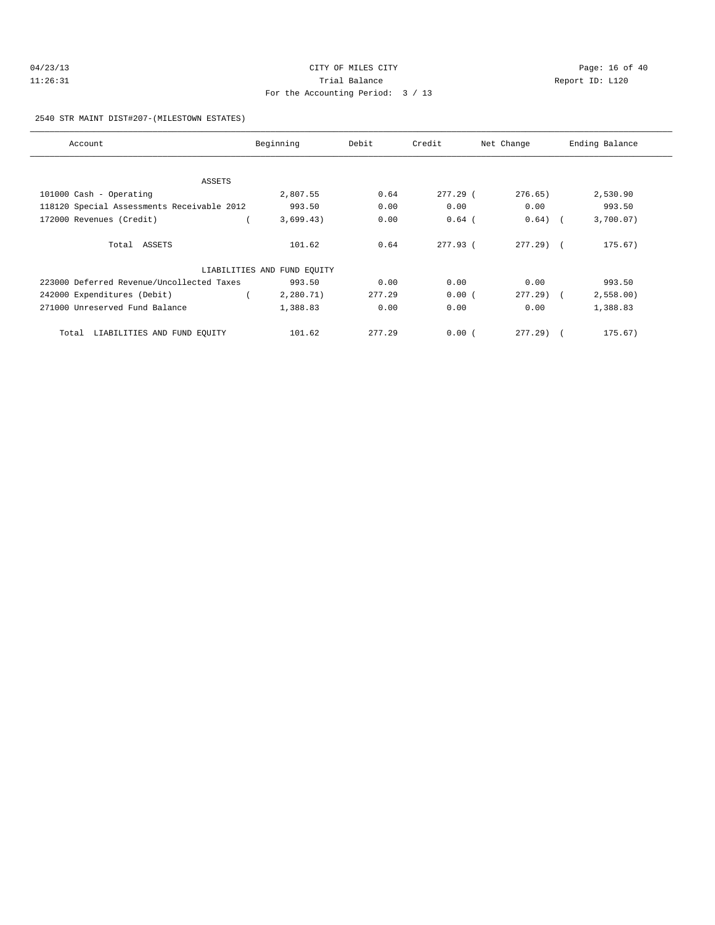| 04/23/13 | CITY OF MILES CITY                | Page: 16 of 40  |
|----------|-----------------------------------|-----------------|
| 11:26:31 | Trial Balance                     | Report ID: L120 |
|          | For the Accounting Period: 3 / 13 |                 |

2540 STR MAINT DIST#207-(MILESTOWN ESTATES)

| Account                                    | Beginning                   | Debit  | Credit   | Net Change   | Ending Balance |
|--------------------------------------------|-----------------------------|--------|----------|--------------|----------------|
|                                            |                             |        |          |              |                |
| ASSETS                                     |                             |        |          |              |                |
| 101000 Cash - Operating                    | 2,807.55                    | 0.64   | 277.29 ( | 276.65)      | 2,530.90       |
| 118120 Special Assessments Receivable 2012 | 993.50                      | 0.00   | 0.00     | 0.00         | 993.50         |
| 172000 Revenues (Credit)                   | 3,699.43)                   | 0.00   | $0.64$ ( | $0.64)$ (    | 3,700.07)      |
| Total ASSETS                               | 101.62                      | 0.64   | 277.93 ( | $277.29$ $($ | 175.67)        |
|                                            | LIABILITIES AND FUND EQUITY |        |          |              |                |
| 223000 Deferred Revenue/Uncollected Taxes  | 993.50                      | 0.00   | 0.00     | 0.00         | 993.50         |
| 242000 Expenditures (Debit)                | 2,280.71)                   | 277.29 | 0.00(    | 277.29) (    | 2,558.00       |
| 271000 Unreserved Fund Balance             | 1,388.83                    | 0.00   | 0.00     | 0.00         | 1,388.83       |
| LIABILITIES AND FUND EQUITY<br>Total       | 101.62                      | 277.29 | 0.00(    | 277.29       | 175.67)        |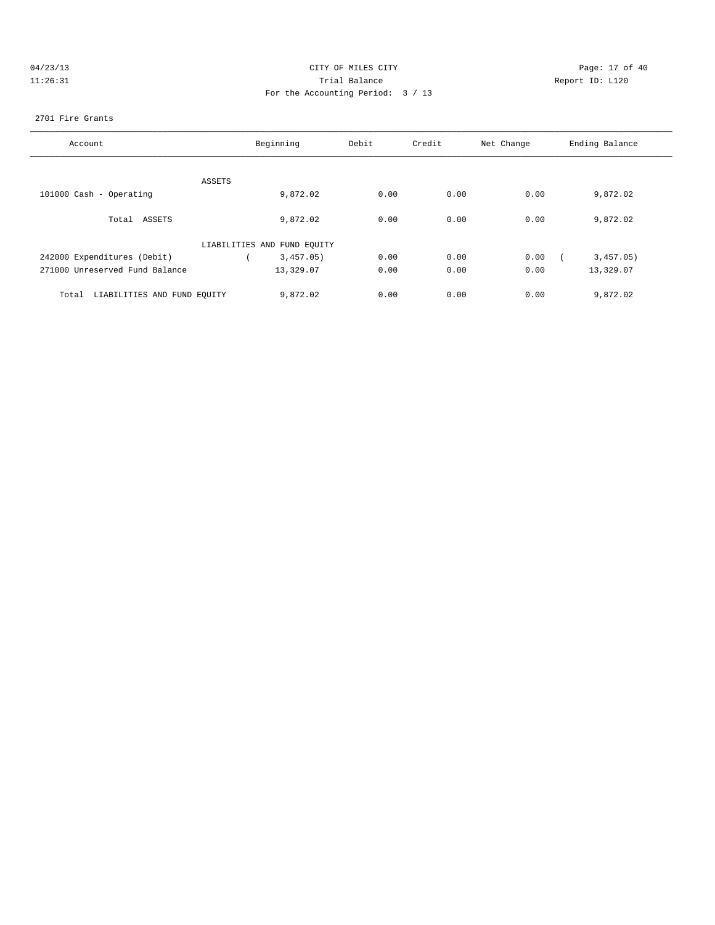| 04/23/13 |  |
|----------|--|
| 11:26:31 |  |

# CITY OF MILES CITY CONTROL CONTROL CONTROL CITY OF 40 1:26:31 Trial Balance Report ID: L120 For the Accounting Period: 3 / 13

#### 2701 Fire Grants

| Account                              | Beginning                   | Debit | Credit | Net Change | Ending Balance |
|--------------------------------------|-----------------------------|-------|--------|------------|----------------|
|                                      |                             |       |        |            |                |
| ASSETS                               |                             |       |        |            |                |
| 101000 Cash - Operating              | 9,872.02                    | 0.00  | 0.00   | 0.00       | 9,872.02       |
| Total ASSETS                         | 9,872.02                    | 0.00  | 0.00   | 0.00       | 9,872.02       |
|                                      | LIABILITIES AND FUND EQUITY |       |        |            |                |
| 242000 Expenditures (Debit)          | 3,457.05)                   | 0.00  | 0.00   | 0.00       | 3,457.05)      |
| 271000 Unreserved Fund Balance       | 13,329.07                   | 0.00  | 0.00   | 0.00       | 13,329.07      |
| LIABILITIES AND FUND EQUITY<br>Total | 9,872.02                    | 0.00  | 0.00   | 0.00       | 9,872.02       |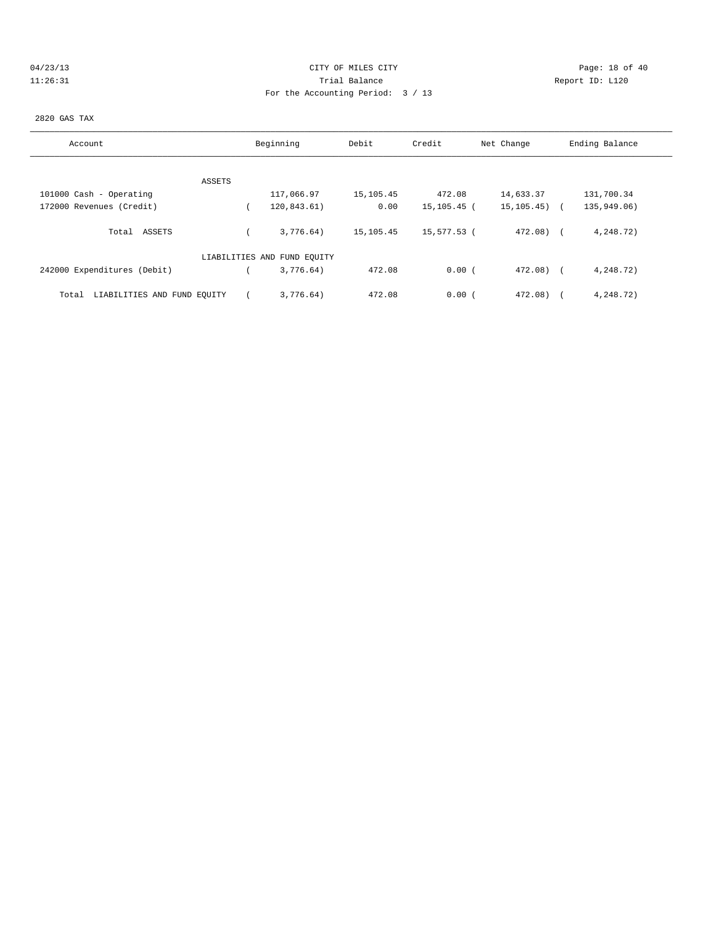# 04/23/13 Page: 18 of 40 11:26:31 Trial Balance Report ID: L120 For the Accounting Period: 3 / 13

#### 2820 GAS TAX

| Account                              | Beginning                   | Debit     | Credit      | Net Change       | Ending Balance |
|--------------------------------------|-----------------------------|-----------|-------------|------------------|----------------|
|                                      |                             |           |             |                  |                |
| ASSETS                               |                             |           |             |                  |                |
| 101000 Cash - Operating              | 117,066.97                  | 15,105.45 | 472.08      | 14,633.37        | 131,700.34     |
| 172000 Revenues (Credit)             | 120,843.61)                 | 0.00      | 15,105.45 ( | $15, 105, 45)$ ( | 135,949.06)    |
| Total ASSETS                         | 3.776.64)                   | 15,105.45 | 15,577.53 ( | $472.08$ (       | 4,248.72)      |
|                                      | LIABILITIES AND FUND EQUITY |           |             |                  |                |
| 242000 Expenditures (Debit)          | 3,776.64)                   | 472.08    | 0.00(       | $472.08$ $($     | 4,248.72)      |
| LIABILITIES AND FUND EQUITY<br>Total | 3.776.64)                   | 472.08    | 0.00(       | 472.08)          | 4,248.72)      |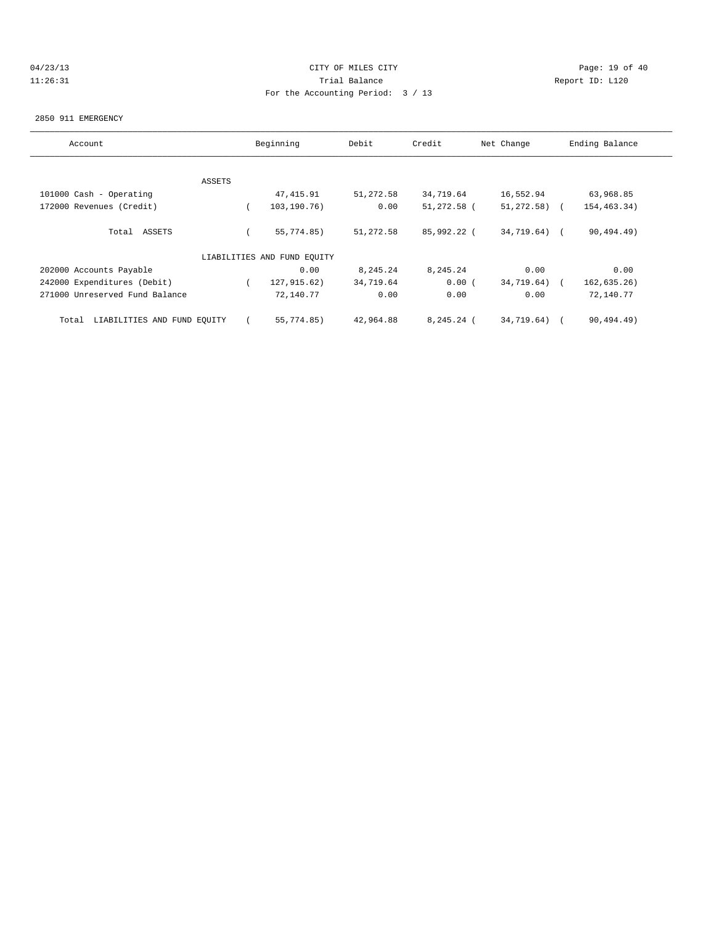# 04/23/13 Page: 19 of 40 11:26:31 Trial Balance Report ID: L120 For the Accounting Period: 3 / 13

#### 2850 911 EMERGENCY

| Account                              |        | Beginning                   | Debit     | Credit       | Net Change      | Ending Balance |
|--------------------------------------|--------|-----------------------------|-----------|--------------|-----------------|----------------|
|                                      |        |                             |           |              |                 |                |
|                                      | ASSETS |                             |           |              |                 |                |
| 101000 Cash - Operating              |        | 47, 415.91                  | 51,272.58 | 34,719.64    | 16,552.94       | 63,968.85      |
| 172000 Revenues (Credit)             |        | 103,190.76)                 | 0.00      | 51,272.58 (  | $51, 272, 58$ ( | 154, 463. 34)  |
| Total ASSETS                         |        | 55,774.85)                  | 51,272.58 | 85,992.22 (  | 34,719.64)      | 90, 494.49     |
|                                      |        | LIABILITIES AND FUND EQUITY |           |              |                 |                |
| 202000 Accounts Payable              |        | 0.00                        | 8,245.24  | 8,245.24     | 0.00            | 0.00           |
| 242000 Expenditures (Debit)          |        | 127,915.62)                 | 34,719.64 | 0.00(        | 34,719.64)      | 162, 635.26)   |
| 271000 Unreserved Fund Balance       |        | 72,140.77                   | 0.00      | 0.00         | 0.00            | 72,140.77      |
| LIABILITIES AND FUND EQUITY<br>Total |        | 55,774.85)                  | 42,964.88 | $8,245.24$ ( | 34,719.64)      | 90,494.49)     |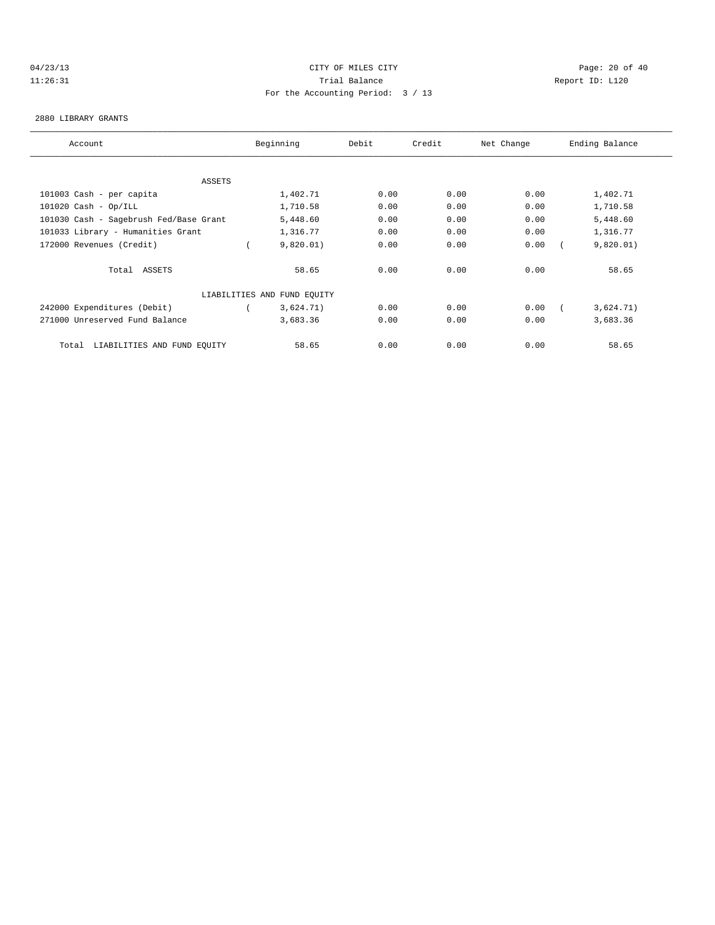# 04/23/13 Page: 20 of 40 11:26:31 Trial Balance Report ID: L120 For the Accounting Period: 3 / 13

#### 2880 LIBRARY GRANTS

| Account                                | Beginning<br>Debit          |      | Credit<br>Net Change |      | Ending Balance |
|----------------------------------------|-----------------------------|------|----------------------|------|----------------|
|                                        |                             |      |                      |      |                |
| ASSETS                                 |                             |      |                      |      |                |
| 101003 Cash - per capita               | 1,402.71                    | 0.00 | 0.00                 | 0.00 | 1,402.71       |
| $101020$ Cash - Op/ILL                 | 1,710.58                    | 0.00 | 0.00                 | 0.00 | 1,710.58       |
| 101030 Cash - Sagebrush Fed/Base Grant | 5,448.60                    | 0.00 | 0.00                 | 0.00 | 5,448.60       |
| 101033 Library - Humanities Grant      | 1,316.77                    | 0.00 | 0.00                 | 0.00 | 1,316.77       |
| 172000 Revenues (Credit)               | 9,820.01)                   | 0.00 | 0.00                 | 0.00 | 9,820.01)      |
| Total ASSETS                           | 58.65                       | 0.00 | 0.00                 | 0.00 | 58.65          |
|                                        | LIABILITIES AND FUND EQUITY |      |                      |      |                |
| 242000 Expenditures (Debit)            | 3,624.71)                   | 0.00 | 0.00                 | 0.00 | 3,624.71)      |
| 271000 Unreserved Fund Balance         | 3,683.36                    | 0.00 | 0.00                 | 0.00 | 3,683.36       |
| Total<br>LIABILITIES AND FUND EQUITY   | 58.65                       | 0.00 | 0.00                 | 0.00 | 58.65          |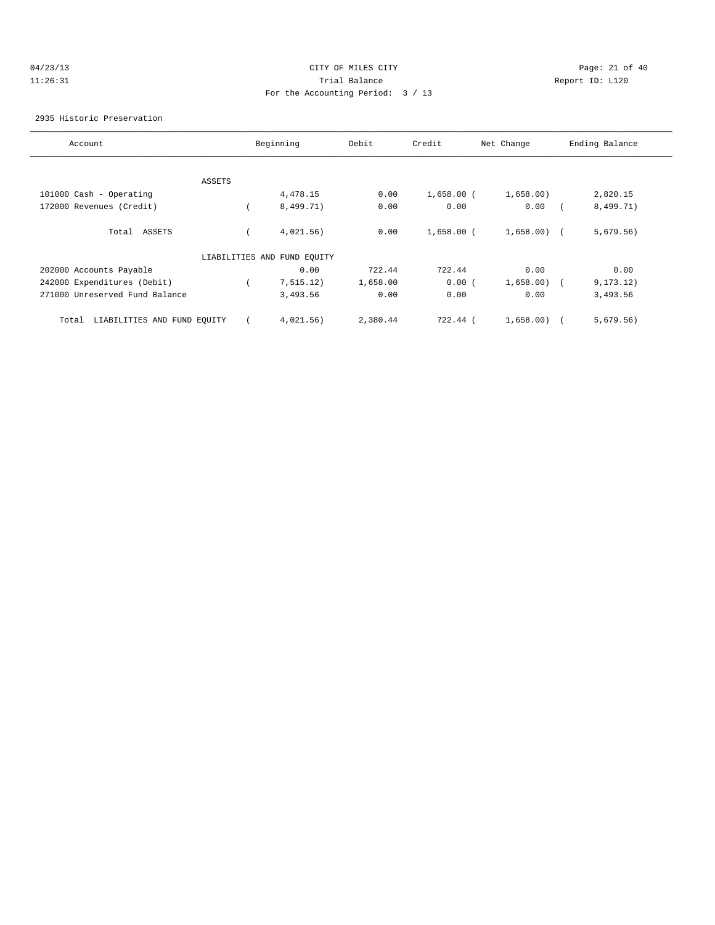# 04/23/13 Page: 21 of 40 11:26:31 Trial Balance Report ID: L120 For the Accounting Period: 3 / 13

#### 2935 Historic Preservation

| Account                              |               | Beginning                   | Debit    | Credit       | Net Change   | Ending Balance |
|--------------------------------------|---------------|-----------------------------|----------|--------------|--------------|----------------|
|                                      |               |                             |          |              |              |                |
|                                      | <b>ASSETS</b> |                             |          |              |              |                |
| 101000 Cash - Operating              |               | 4,478.15                    | 0.00     | $1,658.00$ ( | 1,658.00)    | 2,820.15       |
| 172000 Revenues (Credit)             |               | 8,499.71)                   | 0.00     | 0.00         | 0.00         | 8,499.71)      |
| Total ASSETS                         |               | 4,021.56)                   | 0.00     | $1,658.00$ ( | $1,658.00$ ( | 5,679.56)      |
|                                      |               | LIABILITIES AND FUND EQUITY |          |              |              |                |
| 202000 Accounts Payable              |               | 0.00                        | 722.44   | 722.44       | 0.00         | 0.00           |
| 242000 Expenditures (Debit)          |               | 7, 515.12)                  | 1,658.00 | 0.00(        | 1,658.00)    | 9, 173, 12)    |
| 271000 Unreserved Fund Balance       |               | 3,493.56                    | 0.00     | 0.00         | 0.00         | 3,493.56       |
| LIABILITIES AND FUND EQUITY<br>Total |               | 4,021.56)                   | 2,380.44 | 722.44 (     | 1,658.00)    | 5,679.56)      |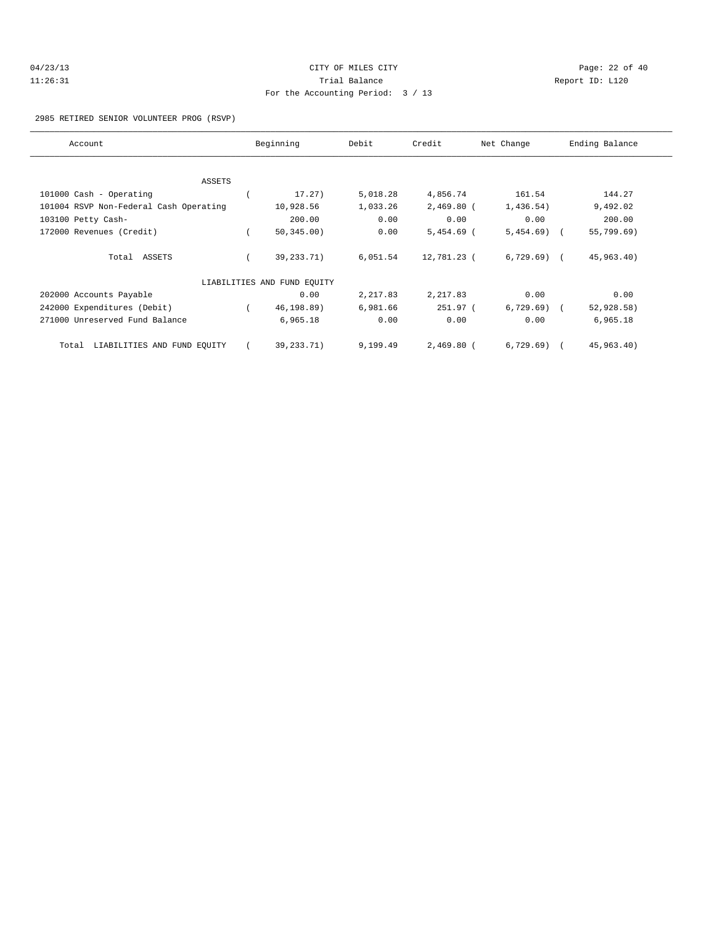| 04/23/13 | Page: 22 of 40<br>CITY OF MILES CITY |  |  |
|----------|--------------------------------------|--|--|
| 11:26:31 | Trial Balance<br>Report ID: L120     |  |  |
|          | For the Accounting Period: 3 / 13    |  |  |

#### 2985 RETIRED SENIOR VOLUNTEER PROG (RSVP)

| Account                                | Beginning                   | Debit    | Credit       | Net Change   | Ending Balance |
|----------------------------------------|-----------------------------|----------|--------------|--------------|----------------|
|                                        |                             |          |              |              |                |
| ASSETS                                 |                             |          |              |              |                |
| 101000 Cash - Operating                | 17.27)                      | 5,018.28 | 4,856.74     | 161.54       | 144.27         |
| 101004 RSVP Non-Federal Cash Operating | 10,928.56                   | 1,033.26 | $2,469.80$ ( | 1,436.54)    | 9,492.02       |
| 103100 Petty Cash-                     | 200.00                      | 0.00     | 0.00         | 0.00         | 200.00         |
| 172000 Revenues (Credit)               | 50, 345.00)                 | 0.00     | $5,454.69$ ( | $5,454.69$ ( | 55,799.69)     |
| Total ASSETS                           | 39, 233. 71)                | 6,051.54 | 12,781.23 (  | $6,729.69$ ( | 45,963.40)     |
|                                        | LIABILITIES AND FUND EQUITY |          |              |              |                |
| 202000 Accounts Payable                | 0.00                        | 2,217.83 | 2,217.83     | 0.00         | 0.00           |
| 242000 Expenditures (Debit)            | 46,198.89)                  | 6,981.66 | 251.97 (     | $6,729.69$ ( | 52,928.58)     |
| 271000 Unreserved Fund Balance         | 6,965.18                    | 0.00     | 0.00         | 0.00         | 6,965.18       |
| LIABILITIES AND FUND EQUITY<br>Total   | 39,233.71)                  | 9,199.49 | $2,469.80$ ( | $6,729.69$ ( | 45,963.40)     |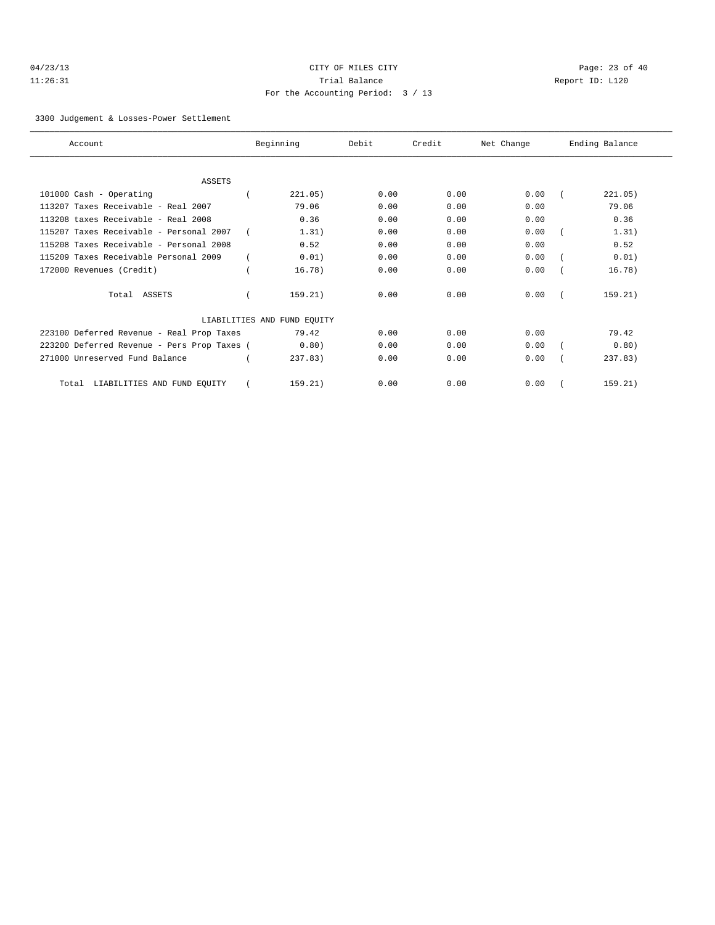| 04/23/13 |  |
|----------|--|
| 11:26:31 |  |

# CITY OF MILES CITY **Page: 23 of 40** Trial Balance and Communicated Report ID: L120 For the Accounting Period: 3 / 13

3300 Judgement & Losses-Power Settlement

| Account                                     | Beginning                   | Debit | Credit | Net Change | Ending Balance |
|---------------------------------------------|-----------------------------|-------|--------|------------|----------------|
|                                             |                             |       |        |            |                |
| <b>ASSETS</b>                               |                             |       |        |            |                |
| 101000 Cash - Operating                     | 221.05)                     | 0.00  | 0.00   | 0.00       | 221.05)        |
| 113207 Taxes Receivable - Real 2007         | 79.06                       | 0.00  | 0.00   | 0.00       | 79.06          |
| 113208 taxes Receivable - Real 2008         | 0.36                        | 0.00  | 0.00   | 0.00       | 0.36           |
| 115207 Taxes Receivable - Personal 2007     | 1.31)                       | 0.00  | 0.00   | 0.00       | 1.31)          |
| 115208 Taxes Receivable - Personal 2008     | 0.52                        | 0.00  | 0.00   | 0.00       | 0.52           |
| 115209 Taxes Receivable Personal 2009       | 0.01)                       | 0.00  | 0.00   | 0.00       | 0.01)          |
| 172000 Revenues (Credit)                    | 16.78)                      | 0.00  | 0.00   | 0.00       | 16.78)         |
| Total ASSETS                                | 159.21)                     | 0.00  | 0.00   | 0.00       | 159.21)        |
|                                             | LIABILITIES AND FUND EQUITY |       |        |            |                |
| 223100 Deferred Revenue - Real Prop Taxes   | 79.42                       | 0.00  | 0.00   | 0.00       | 79.42          |
| 223200 Deferred Revenue - Pers Prop Taxes ( | 0.80)                       | 0.00  | 0.00   | 0.00       | 0.80)          |
| 271000 Unreserved Fund Balance              | 237.83                      | 0.00  | 0.00   | 0.00       | 237.83         |
| LIABILITIES AND FUND EQUITY<br>Total        | 159.21)                     | 0.00  | 0.00   | 0.00       | 159.21)        |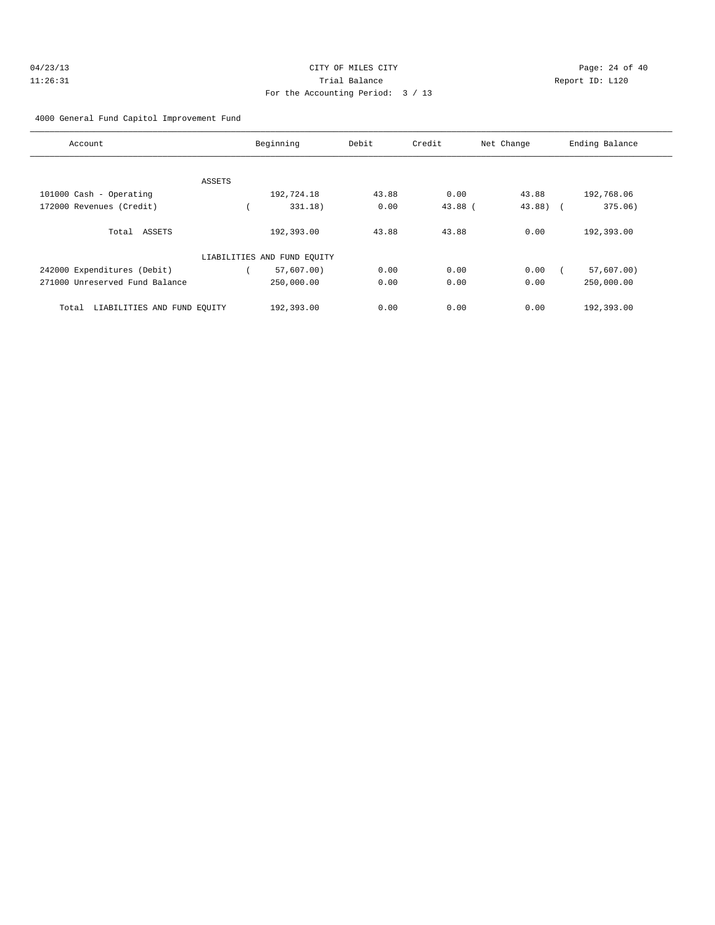| 04/23/13 | CITY OF MILES CITY                | Page: 24 of 40 |  |
|----------|-----------------------------------|----------------|--|
| 11:26:31 | Trial Balance<br>Report ID: L120  |                |  |
|          | For the Accounting Period: 3 / 13 |                |  |

4000 General Fund Capitol Improvement Fund

| Account                              | Beginning                   | Debit | Credit    | Net Change    | Ending Balance |
|--------------------------------------|-----------------------------|-------|-----------|---------------|----------------|
|                                      |                             |       |           |               |                |
|                                      |                             |       |           |               |                |
| ASSETS                               |                             |       |           |               |                |
| 101000 Cash - Operating              | 192,724.18                  | 43.88 | 0.00      | 43.88         | 192,768.06     |
| 172000 Revenues (Credit)             | 331.18)                     | 0.00  | $43.88$ ( | $43.88$ ) $($ | 375.06)        |
|                                      |                             |       |           |               |                |
| Total ASSETS                         | 192,393.00                  | 43.88 | 43.88     | 0.00          | 192,393.00     |
|                                      |                             |       |           |               |                |
|                                      | LIABILITIES AND FUND EQUITY |       |           |               |                |
| 242000 Expenditures (Debit)          | 57,607.00)                  | 0.00  | 0.00      | 0.00          | 57,607.00)     |
| 271000 Unreserved Fund Balance       | 250,000.00                  | 0.00  | 0.00      | 0.00          | 250,000.00     |
|                                      |                             |       |           |               |                |
| LIABILITIES AND FUND EOUITY<br>Total | 192,393.00                  | 0.00  | 0.00      | 0.00          | 192,393.00     |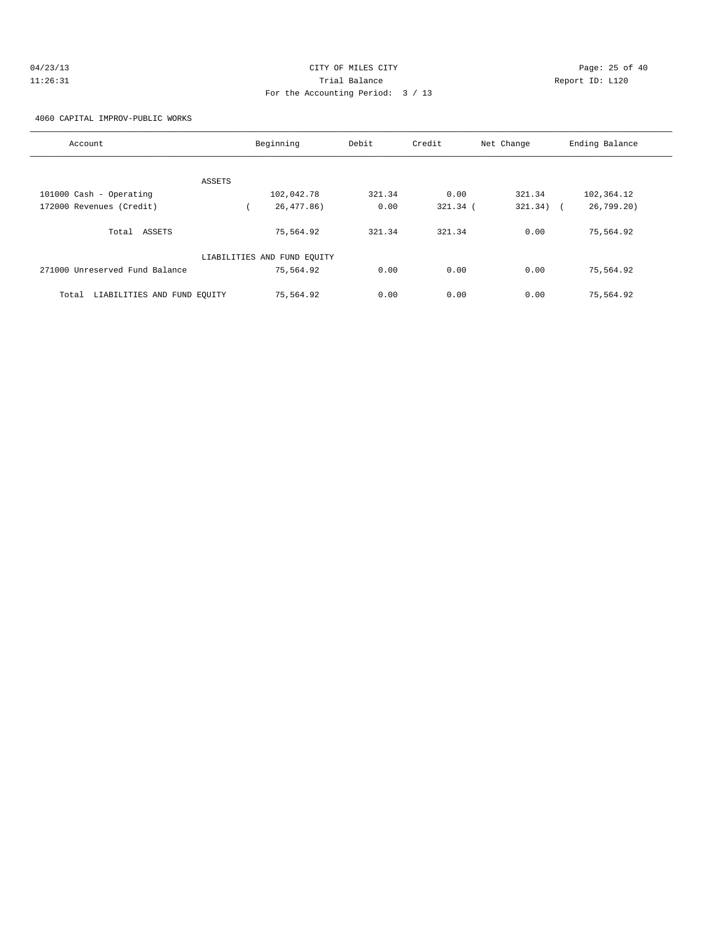| 04/23/13 | CITY OF MILES CITY                | Page: 25 of 40  |
|----------|-----------------------------------|-----------------|
| 11:26:31 | Trial Balance                     | Report ID: L120 |
|          | For the Accounting Period: 3 / 13 |                 |

4060 CAPITAL IMPROV-PUBLIC WORKS

| Account                              | Beginning                   | Debit  | Credit     | Net Change  | Ending Balance |
|--------------------------------------|-----------------------------|--------|------------|-------------|----------------|
|                                      |                             |        |            |             |                |
| ASSETS<br>101000 Cash - Operating    | 102,042.78                  | 321.34 | 0.00       | 321.34      | 102,364.12     |
| 172000 Revenues (Credit)             | 26,477.86)                  | 0.00   | $321.34$ ( | $321.34)$ ( | 26,799.20)     |
| Total ASSETS                         | 75,564.92                   | 321.34 | 321.34     | 0.00        | 75,564.92      |
|                                      | LIABILITIES AND FUND EQUITY |        |            |             |                |
| 271000 Unreserved Fund Balance       | 75,564.92                   | 0.00   | 0.00       | 0.00        | 75,564.92      |
| LIABILITIES AND FUND EQUITY<br>Total | 75,564.92                   | 0.00   | 0.00       | 0.00        | 75,564.92      |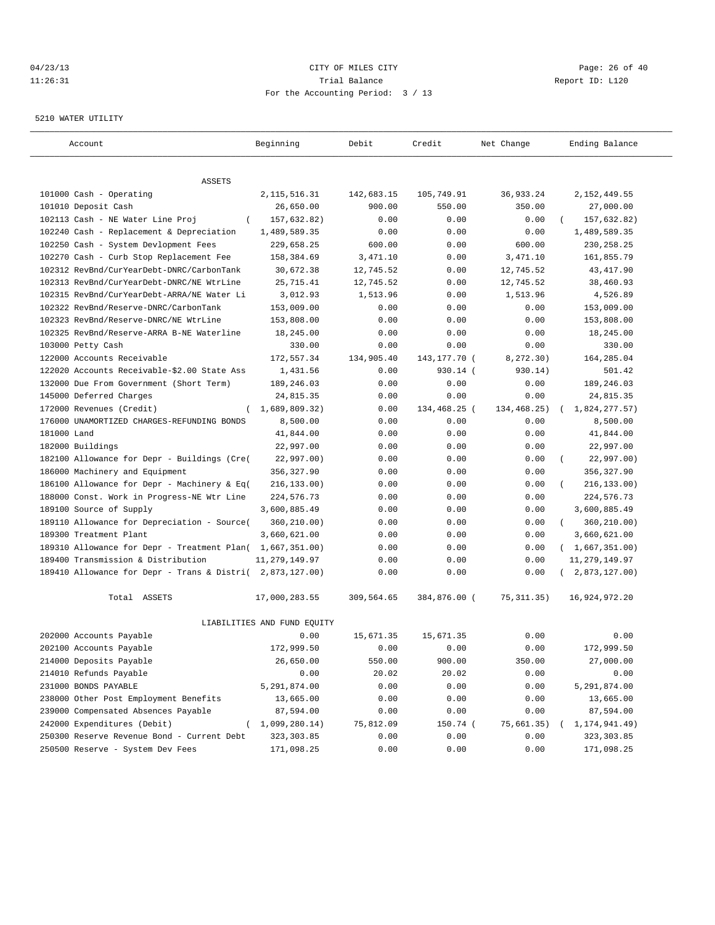#### 04/23/13 Page: 26 of 40 11:26:31 Trial Balance Report ID: L120 For the Accounting Period: 3 / 13

#### 5210 WATER UTILITY

| Account                                                                              | Beginning                   | Debit                 | Credit         | Net Change     | Ending Balance          |
|--------------------------------------------------------------------------------------|-----------------------------|-----------------------|----------------|----------------|-------------------------|
|                                                                                      |                             |                       |                |                |                         |
| ASSETS                                                                               |                             |                       |                |                |                         |
| 101000 Cash - Operating                                                              | 2, 115, 516.31              | 142,683.15            | 105,749.91     | 36,933.24      | 2, 152, 449.55          |
| 101010 Deposit Cash                                                                  | 26,650.00                   | 900.00                | 550.00         | 350.00         | 27,000.00               |
| 102113 Cash - NE Water Line Proj<br>$\left($                                         | 157,632.82)                 | 0.00                  | 0.00           | 0.00           | 157,632.82)             |
| 102240 Cash - Replacement & Depreciation<br>102250 Cash - System Devlopment Fees     | 1,489,589.35                | 0.00                  | 0.00<br>0.00   | 0.00<br>600.00 | 1,489,589.35            |
|                                                                                      | 229,658.25                  | 600.00                | 0.00           | 3,471.10       | 230, 258.25             |
| 102270 Cash - Curb Stop Replacement Fee<br>102312 RevBnd/CurYearDebt-DNRC/CarbonTank | 158,384.69<br>30,672.38     | 3,471.10<br>12,745.52 | 0.00           | 12,745.52      | 161,855.79<br>43,417.90 |
| 102313 RevBnd/CurYearDebt-DNRC/NE WtrLine                                            | 25,715.41                   | 12,745.52             | 0.00           | 12,745.52      | 38,460.93               |
| 102315 RevBnd/CurYearDebt-ARRA/NE Water Li                                           | 3,012.93                    | 1,513.96              | 0.00           | 1,513.96       | 4,526.89                |
| 102322 RevBnd/Reserve-DNRC/CarbonTank                                                | 153,009.00                  | 0.00                  | 0.00           | 0.00           | 153,009.00              |
| 102323 RevBnd/Reserve-DNRC/NE WtrLine                                                | 153,808.00                  | 0.00                  | 0.00           | 0.00           | 153,808.00              |
| 102325 RevBnd/Reserve-ARRA B-NE Waterline                                            | 18,245.00                   | 0.00                  | 0.00           | 0.00           | 18,245.00               |
| 103000 Petty Cash                                                                    | 330.00                      | 0.00                  | 0.00           | 0.00           | 330.00                  |
| 122000 Accounts Receivable                                                           | 172,557.34                  | 134,905.40            | 143, 177. 70 ( | 8,272.30)      | 164,285.04              |
| 122020 Accounts Receivable-\$2.00 State Ass                                          | 1,431.56                    | 0.00                  | 930.14 (       | 930.14)        | 501.42                  |
| 132000 Due From Government (Short Term)                                              | 189,246.03                  | 0.00                  | 0.00           | 0.00           | 189,246.03              |
| 145000 Deferred Charges                                                              | 24,815.35                   | 0.00                  | 0.00           | 0.00           | 24,815.35               |
| 172000 Revenues (Credit)<br>$\left($                                                 | 1,689,809.32                | 0.00                  | 134,468.25 (   | 134,468.25)    | 1,824,277.57)           |
| 176000 UNAMORTIZED CHARGES-REFUNDING BONDS                                           | 8,500.00                    | 0.00                  | 0.00           | 0.00           | 8,500.00                |
| 181000 Land                                                                          | 41,844.00                   | 0.00                  | 0.00           | 0.00           | 41,844.00               |
| 182000 Buildings                                                                     | 22,997.00                   | 0.00                  | 0.00           | 0.00           | 22,997.00               |
| 182100 Allowance for Depr - Buildings (Cre(                                          | 22,997.00)                  | 0.00                  | 0.00           | 0.00           | 22,997.00)<br>$\left($  |
| 186000 Machinery and Equipment                                                       | 356,327.90                  | 0.00                  | 0.00           | 0.00           | 356, 327.90             |
| 186100 Allowance for Depr - Machinery & Eq(                                          | 216, 133.00)                | 0.00                  | 0.00           | 0.00           | 216,133.00)             |
| 188000 Const. Work in Progress-NE Wtr Line                                           | 224,576.73                  | 0.00                  | 0.00           | 0.00           | 224,576.73              |
| 189100 Source of Supply                                                              | 3,600,885.49                | 0.00                  | 0.00           | 0.00           | 3,600,885.49            |
| 189110 Allowance for Depreciation - Source(                                          | 360,210.00)                 | 0.00                  | 0.00           | 0.00           | 360,210.00)<br>$\left($ |
| 189300 Treatment Plant                                                               | 3,660,621.00                | 0.00                  | 0.00           | 0.00           | 3,660,621.00            |
| 189310 Allowance for Depr - Treatment Plan(                                          | 1,667,351.00)               | 0.00                  | 0.00           | 0.00           | (1,667,351.00)          |
| 189400 Transmission & Distribution                                                   | 11,279,149.97               | 0.00                  | 0.00           | 0.00           | 11, 279, 149.97         |
| 189410 Allowance for Depr - Trans & Distri(                                          | 2,873,127.00)               | 0.00                  | 0.00           | 0.00           | 2,873,127.00)           |
| Total ASSETS                                                                         | 17,000,283.55               | 309,564.65            | 384,876.00 (   | 75, 311.35)    | 16,924,972.20           |
|                                                                                      | LIABILITIES AND FUND EQUITY |                       |                |                |                         |
| 202000 Accounts Payable                                                              | 0.00                        | 15,671.35             | 15,671.35      | 0.00           | 0.00                    |
| 202100 Accounts Payable                                                              | 172,999.50                  | 0.00                  | 0.00           | 0.00           | 172,999.50              |
| 214000 Deposits Payable                                                              | 26,650.00                   | 550.00                | 900.00         | 350.00         | 27,000.00               |
| 214010 Refunds Payable                                                               | 0.00                        | 20.02                 | 20.02          | 0.00           | 0.00                    |
| 231000 BONDS PAYABLE                                                                 | 5,291,874.00                | 0.00                  | 0.00           | 0.00           | 5,291,874.00            |
| 238000 Other Post Employment Benefits                                                | 13,665.00                   | 0.00                  | 0.00           | 0.00           | 13,665.00               |
| 239000 Compensated Absences Payable                                                  | 87,594.00                   | 0.00                  | 0.00           | 0.00           | 87,594.00               |
| 242000 Expenditures (Debit)<br>$\left($                                              | 1,099,280.14)               | 75,812.09             | 150.74 (       | 75,661.35)     | 1,174,941.49)           |
| 250300 Reserve Revenue Bond - Current Debt                                           | 323, 303.85                 | 0.00                  | 0.00           | 0.00           | 323,303.85              |
| 250500 Reserve - System Dev Fees                                                     | 171,098.25                  | 0.00                  | 0.00           | 0.00           | 171,098.25              |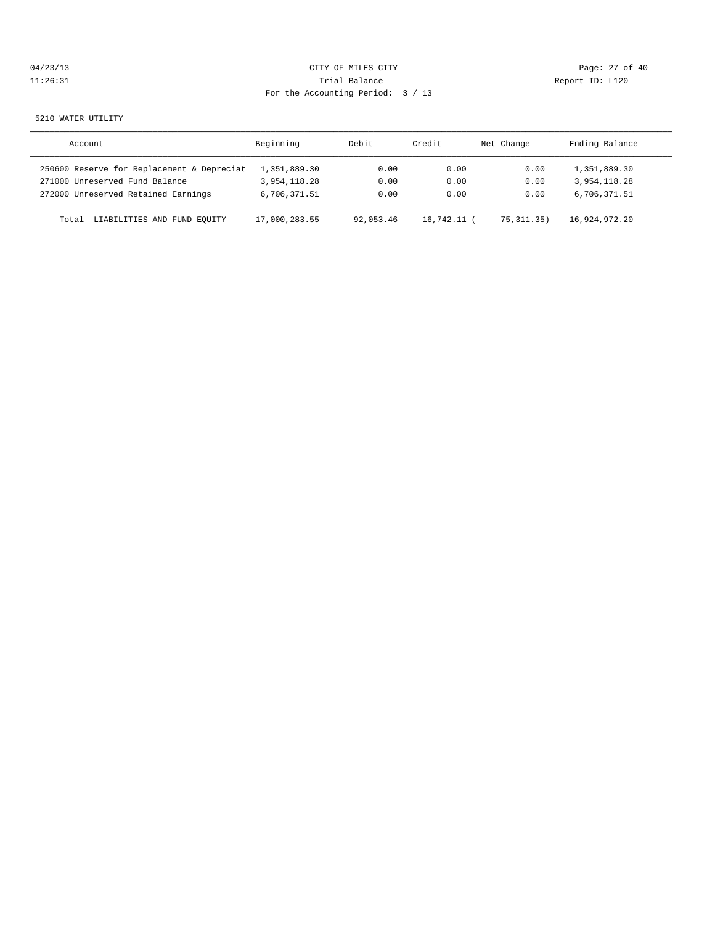| 04/23/13 | CITY OF MILES CITY                | Page: 27 of 40  |
|----------|-----------------------------------|-----------------|
| 11:26:31 | Trial Balance                     | Report ID: L120 |
|          | For the Accounting Period: 3 / 13 |                 |

5210 WATER UTILITY

| Account                                    | Beginning     | Debit     | Credit        | Net Change   | Ending Balance |
|--------------------------------------------|---------------|-----------|---------------|--------------|----------------|
| 250600 Reserve for Replacement & Depreciat | 1,351,889.30  | 0.00      | 0.00          | 0.00         | 1,351,889.30   |
| 271000 Unreserved Fund Balance             | 3,954,118.28  | 0.00      | 0.00          | 0.00         | 3,954,118.28   |
| 272000 Unreserved Retained Earnings        | 6,706,371.51  | 0.00      | 0.00          | 0.00         | 6,706,371.51   |
| LIABILITIES AND FUND EOUITY<br>Total       | 17,000,283.55 | 92,053.46 | $16.742.11$ ( | 75, 311, 35) | 16,924,972.20  |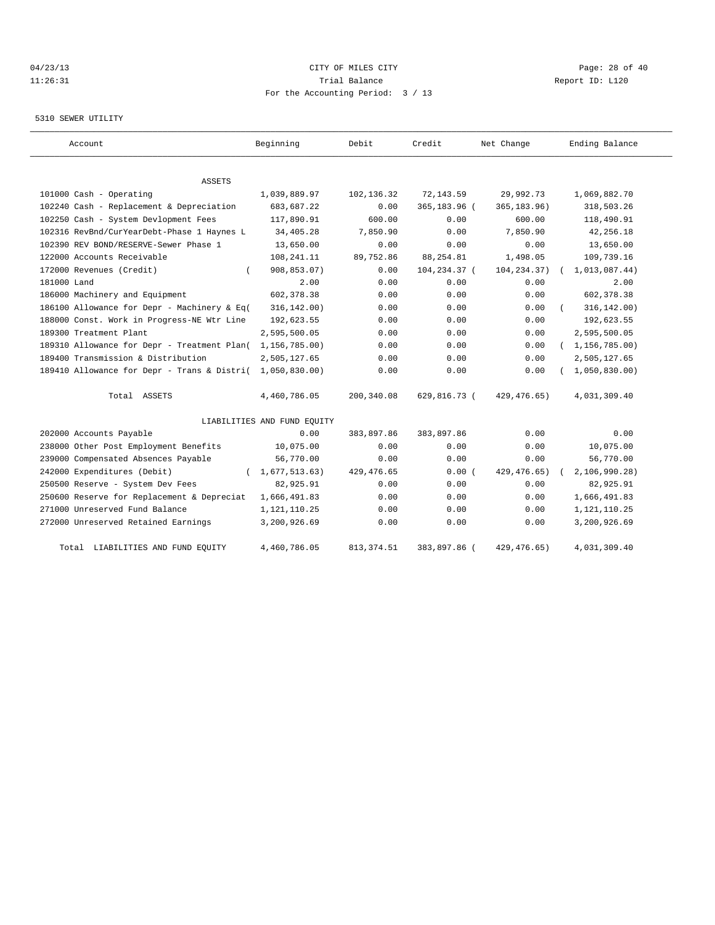# 04/23/13 Page: 28 of 40 11:26:31 Trial Balance Report ID: L120 For the Accounting Period: 3 / 13

#### 5310 SEWER UTILITY

| Account                                     | Beginning                   | Debit       | Credit       | Net Change    | Ending Balance   |
|---------------------------------------------|-----------------------------|-------------|--------------|---------------|------------------|
| ASSETS                                      |                             |             |              |               |                  |
| 101000 Cash - Operating                     | 1,039,889.97                | 102,136.32  | 72,143.59    | 29,992.73     | 1,069,882.70     |
| 102240 Cash - Replacement & Depreciation    | 683,687.22                  | 0.00        | 365,183.96 ( | 365, 183.96)  | 318,503.26       |
| 102250 Cash - System Devlopment Fees        | 117,890.91                  | 600.00      | 0.00         | 600.00        | 118,490.91       |
| 102316 RevBnd/CurYearDebt-Phase 1 Haynes L  | 34,405.28                   | 7,850.90    | 0.00         | 7,850.90      | 42,256.18        |
| 102390 REV BOND/RESERVE-Sewer Phase 1       | 13,650.00                   | 0.00        | 0.00         | 0.00          | 13,650.00        |
| 122000 Accounts Receivable                  | 108,241.11                  | 89,752.86   | 88, 254.81   | 1,498.05      | 109,739.16       |
| 172000 Revenues (Credit)                    | 908,853.07)                 | 0.00        | 104,234.37 ( | 104, 234.37)  | 1,013,087.44)    |
| 181000 Land                                 | 2.00                        | 0.00        | 0.00         | 0.00          | 2.00             |
| 186000 Machinery and Equipment              | 602, 378.38                 | 0.00        | 0.00         | 0.00          | 602, 378.38      |
| 186100 Allowance for Depr - Machinery & Eq( | 316, 142.00)                | 0.00        | 0.00         | 0.00          | 316, 142.00)     |
| 188000 Const. Work in Progress-NE Wtr Line  | 192,623.55                  | 0.00        | 0.00         | 0.00          | 192,623.55       |
| 189300 Treatment Plant                      | 2,595,500.05                | 0.00        | 0.00         | 0.00          | 2,595,500.05     |
| 189310 Allowance for Depr - Treatment Plan( | 1,156,785.00)               | 0.00        | 0.00         | 0.00          | (1, 156, 785.00) |
| 189400 Transmission & Distribution          | 2,505,127.65                | 0.00        | 0.00         | 0.00          | 2,505,127.65     |
| 189410 Allowance for Depr - Trans & Distri( | 1,050,830.00                | 0.00        | 0.00         | 0.00          | 1,050,830.00     |
| Total ASSETS                                | 4,460,786.05                | 200,340.08  | 629,816.73 ( | 429,476.65)   | 4,031,309.40     |
|                                             | LIABILITIES AND FUND EQUITY |             |              |               |                  |
| 202000 Accounts Payable                     | 0.00                        | 383,897.86  | 383,897.86   | 0.00          | 0.00             |
| 238000 Other Post Employment Benefits       | 10,075.00                   | 0.00        | 0.00         | 0.00          | 10,075.00        |
| 239000 Compensated Absences Payable         | 56,770.00                   | 0.00        | 0.00         | 0.00          | 56,770.00        |
| 242000 Expenditures (Debit)                 | 1,677,513.63)               | 429, 476.65 | 0.00(        | 429, 476.65)  | 2, 106, 990.28   |
| 250500 Reserve - System Dev Fees            | 82,925.91                   | 0.00        | 0.00         | 0.00          | 82,925.91        |
| 250600 Reserve for Replacement & Depreciat  | 1,666,491.83                | 0.00        | 0.00         | 0.00          | 1,666,491.83     |
| 271000 Unreserved Fund Balance              | 1,121,110.25                | 0.00        | 0.00         | 0.00          | 1, 121, 110.25   |
| 272000 Unreserved Retained Earnings         | 3,200,926.69                | 0.00        | 0.00         | 0.00          | 3,200,926.69     |
| Total LIABILITIES AND FUND EOUITY           | 4,460,786.05                | 813, 374.51 | 383,897.86 ( | 429, 476, 65) | 4,031,309.40     |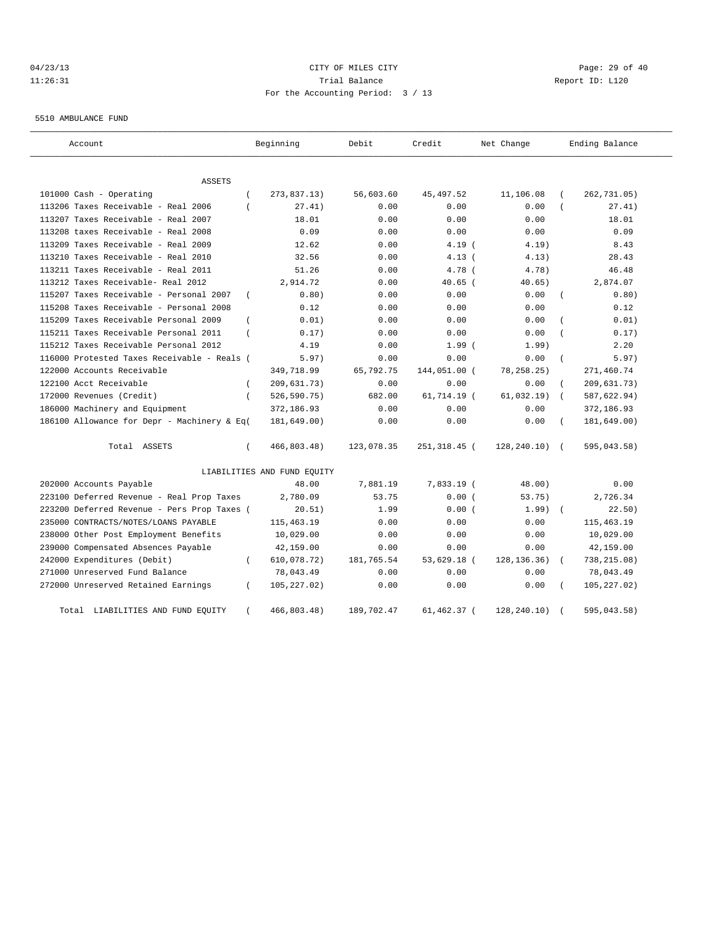# 04/23/13 Page: 29 of 40 11:26:31 Trial Balance Report ID: L120 For the Accounting Period: 3 / 13

5510 AMBULANCE FUND

| Account                                     |                | Beginning                   | Debit      | Credit       | Net Change    |                | Ending Balance |
|---------------------------------------------|----------------|-----------------------------|------------|--------------|---------------|----------------|----------------|
| <b>ASSETS</b>                               |                |                             |            |              |               |                |                |
| 101000 Cash - Operating                     |                | 273,837.13)                 | 56,603.60  | 45, 497.52   | 11,106.08     |                | 262,731.05)    |
| 113206 Taxes Receivable - Real 2006         |                | 27.41)                      | 0.00       | 0.00         | 0.00          |                | 27.41)         |
| 113207 Taxes Receivable - Real 2007         |                | 18.01                       | 0.00       | 0.00         | 0.00          |                | 18.01          |
| 113208 taxes Receivable - Real 2008         |                | 0.09                        | 0.00       | 0.00         | 0.00          |                | 0.09           |
| 113209 Taxes Receivable - Real 2009         |                | 12.62                       | 0.00       | 4.19(        | 4.19)         |                | 8.43           |
| 113210 Taxes Receivable - Real 2010         |                | 32.56                       | 0.00       | 4.13(        | 4.13)         |                | 28.43          |
| 113211 Taxes Receivable - Real 2011         |                | 51.26                       | 0.00       | 4.78 (       | 4.78)         |                | 46.48          |
| 113212 Taxes Receivable- Real 2012          |                | 2,914.72                    | 0.00       | $40.65$ (    | 40.65)        |                | 2,874.07       |
| 115207 Taxes Receivable - Personal 2007     | $\left($       | 0.80)                       | 0.00       | 0.00         | 0.00          |                | 0.80)          |
| 115208 Taxes Receivable - Personal 2008     |                | 0.12                        | 0.00       | 0.00         | 0.00          |                | 0.12           |
| 115209 Taxes Receivable Personal 2009       | $\overline{ }$ | 0.01)                       | 0.00       | 0.00         | 0.00          |                | 0.01)          |
| 115211 Taxes Receivable Personal 2011       |                | 0.17)                       | 0.00       | 0.00         | 0.00          |                | 0.17)          |
| 115212 Taxes Receivable Personal 2012       |                | 4.19                        | 0.00       | $1.99$ (     | 1.99)         |                | 2.20           |
| 116000 Protested Taxes Receivable - Reals ( |                | 5.97)                       | 0.00       | 0.00         | 0.00          | $\overline{ }$ | 5.97)          |
| 122000 Accounts Receivable                  |                | 349,718.99                  | 65,792.75  | 144,051.00 ( | 78, 258. 25)  |                | 271,460.74     |
| 122100 Acct Receivable                      |                | 209,631.73)                 | 0.00       | 0.00         | 0.00          |                | 209,631.73)    |
| 172000 Revenues (Credit)                    | $\left($       | 526,590.75)                 | 682.00     | 61,714.19 (  | 61,032.19)    | $\left($       | 587,622.94)    |
| 186000 Machinery and Equipment              |                | 372,186.93                  | 0.00       | 0.00         | 0.00          |                | 372,186.93     |
| 186100 Allowance for Depr - Machinery & Eq( |                | 181,649.00)                 | 0.00       | 0.00         | 0.00          |                | 181,649.00)    |
| Total ASSETS                                | $\left($       | 466,803.48)                 | 123,078.35 | 251,318.45 ( | 128,240.10)   | $\sqrt{2}$     | 595,043.58)    |
|                                             |                | LIABILITIES AND FUND EQUITY |            |              |               |                |                |
| 202000 Accounts Payable                     |                | 48.00                       | 7,881.19   | 7,833.19 (   | 48.00)        |                | 0.00           |
| 223100 Deferred Revenue - Real Prop Taxes   |                | 2,780.09                    | 53.75      | 0.00(        | 53.75)        |                | 2,726.34       |
| 223200 Deferred Revenue - Pers Prop Taxes ( |                | 20.51)                      | 1.99       | 0.00(        | 1.99)         | $\sqrt{2}$     | 22.50)         |
| 235000 CONTRACTS/NOTES/LOANS PAYABLE        |                | 115,463.19                  | 0.00       | 0.00         | 0.00          |                | 115, 463.19    |
| 238000 Other Post Employment Benefits       |                | 10,029.00                   | 0.00       | 0.00         | 0.00          |                | 10,029.00      |
| 239000 Compensated Absences Payable         |                | 42,159.00                   | 0.00       | 0.00         | 0.00          |                | 42,159.00      |
| 242000 Expenditures (Debit)                 | - 1            | 610,078.72)                 | 181,765.54 | 53,629.18 (  | 128, 136. 36) |                | 738,215.08)    |
| 271000 Unreserved Fund Balance              |                | 78,043.49                   | 0.00       | 0.00         | 0.00          |                | 78,043.49      |
| 272000 Unreserved Retained Earnings         | - 1            | 105,227.02)                 | 0.00       | 0.00         | 0.00          |                | 105, 227.02)   |
| Total<br>LIABILITIES AND FUND EQUITY        |                | 466,803.48)                 | 189,702.47 | 61,462.37 (  | 128,240.10)   |                | 595,043.58)    |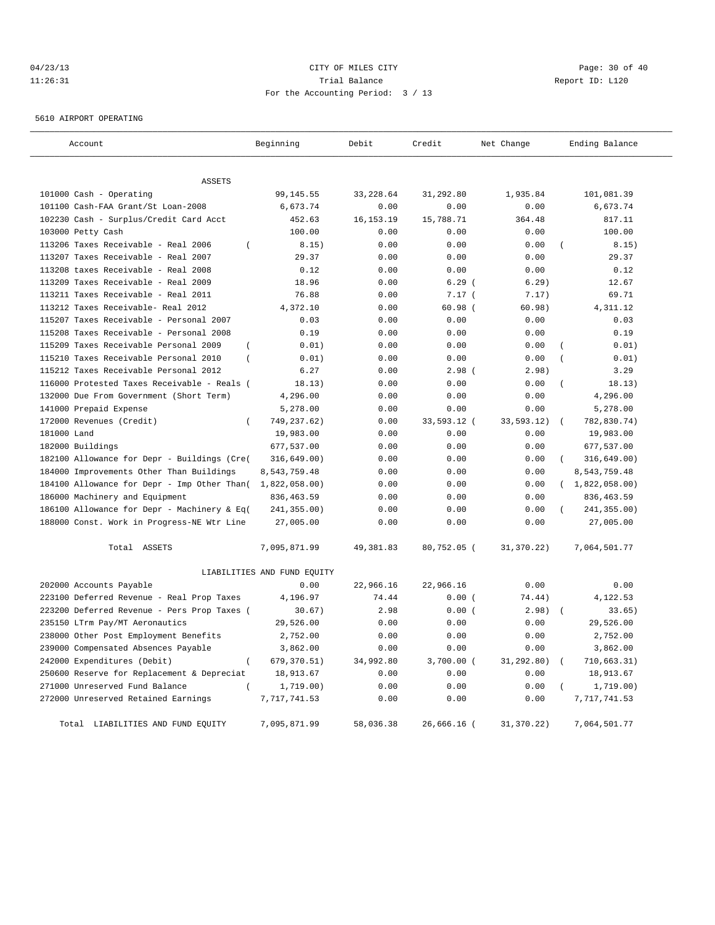# 04/23/13 Page: 30 of 40 11:26:31 Trial Balance Report ID: L120 For the Accounting Period: 3 / 13

5610 AIRPORT OPERATING

| Account                                                 | Beginning                   | Debit       | Credit       | Net Change | Ending Balance          |
|---------------------------------------------------------|-----------------------------|-------------|--------------|------------|-------------------------|
|                                                         |                             |             |              |            |                         |
| <b>ASSETS</b>                                           |                             |             |              |            |                         |
| 101000 Cash - Operating                                 | 99, 145.55                  | 33,228.64   | 31,292.80    | 1,935.84   | 101,081.39              |
| 101100 Cash-FAA Grant/St Loan-2008                      | 6,673.74                    | 0.00        | 0.00         | 0.00       | 6,673.74                |
| 102230 Cash - Surplus/Credit Card Acct                  | 452.63                      | 16, 153. 19 | 15,788.71    | 364.48     | 817.11                  |
| 103000 Petty Cash                                       | 100.00                      | 0.00        | 0.00         | 0.00       | 100.00                  |
| 113206 Taxes Receivable - Real 2006<br>$\overline{ }$   | 8.15)                       | 0.00        | 0.00         | 0.00       | 8.15)                   |
| 113207 Taxes Receivable - Real 2007                     | 29.37                       | 0.00        | 0.00         | 0.00       | 29.37                   |
| 113208 taxes Receivable - Real 2008                     | 0.12                        | 0.00        | 0.00         | 0.00       | 0.12                    |
| 113209 Taxes Receivable - Real 2009                     | 18.96                       | 0.00        | 6.29(        | 6.29)      | 12.67                   |
| 113211 Taxes Receivable - Real 2011                     | 76.88                       | 0.00        | 7.17(        | 7.17)      | 69.71                   |
| 113212 Taxes Receivable- Real 2012                      | 4,372.10                    | 0.00        | 60.98(       | 60.98)     | 4, 311.12               |
| 115207 Taxes Receivable - Personal 2007                 | 0.03                        | 0.00        | 0.00         | 0.00       | 0.03                    |
| 115208 Taxes Receivable - Personal 2008                 | 0.19                        | 0.00        | 0.00         | 0.00       | 0.19                    |
| 115209 Taxes Receivable Personal 2009<br>$\overline{ }$ | 0.01)                       | 0.00        | 0.00         | 0.00       | 0.01)<br>$\overline{(}$ |
| 115210 Taxes Receivable Personal 2010<br>$\left($       | 0.01)                       | 0.00        | 0.00         | 0.00       | 0.01)<br>$\overline{(}$ |
| 115212 Taxes Receivable Personal 2012                   | 6.27                        | 0.00        | 2.98(        | 2.98)      | 3.29                    |
| 116000 Protested Taxes Receivable - Reals (             | 18.13)                      | 0.00        | 0.00         | 0.00       | 18.13)                  |
| 132000 Due From Government (Short Term)                 | 4,296.00                    | 0.00        | 0.00         | 0.00       | 4,296.00                |
| 141000 Prepaid Expense                                  | 5,278.00                    | 0.00        | 0.00         | 0.00       | 5,278.00                |
| 172000 Revenues (Credit)<br>$\overline{ }$              | 749, 237.62)                | 0.00        | 33,593.12 (  | 33,593.12) | 782,830.74)<br>$\left($ |
| 181000 Land                                             | 19,983.00                   | 0.00        | 0.00         | 0.00       | 19,983.00               |
| 182000 Buildings                                        | 677,537.00                  | 0.00        | 0.00         | 0.00       | 677,537.00              |
| 182100 Allowance for Depr - Buildings (Cre(             | 316, 649.00)                | 0.00        | 0.00         | 0.00       | 316, 649.00)            |
| 184000 Improvements Other Than Buildings                | 8,543,759.48                | 0.00        | 0.00         | 0.00       | 8,543,759.48            |
| 184100 Allowance for Depr - Imp Other Than(             | 1,822,058.00                | 0.00        | 0.00         | 0.00       | (1,822,058.00)          |
| 186000 Machinery and Equipment                          | 836, 463.59                 | 0.00        | 0.00         | 0.00       | 836, 463.59             |
| 186100 Allowance for Depr - Machinery & Eq(             | 241,355.00)                 | 0.00        | 0.00         | 0.00       | 241,355.00)             |
| 188000 Const. Work in Progress-NE Wtr Line              | 27,005.00                   | 0.00        | 0.00         | 0.00       | 27,005.00               |
| Total ASSETS                                            | 7,095,871.99                | 49,381.83   | 80,752.05 (  | 31,370.22) | 7,064,501.77            |
|                                                         | LIABILITIES AND FUND EQUITY |             |              |            |                         |
| 202000 Accounts Payable                                 | 0.00                        | 22,966.16   | 22,966.16    | 0.00       | 0.00                    |
| 223100 Deferred Revenue - Real Prop Taxes               | 4,196.97                    | 74.44       | 0.00(        | 74.44)     | 4,122.53                |
| 223200 Deferred Revenue - Pers Prop Taxes (             | 30.67)                      | 2.98        | 0.00(        | 2.98)      | 33.65)                  |
| 235150 LTrm Pay/MT Aeronautics                          | 29,526.00                   | 0.00        | 0.00         | 0.00       | 29,526.00               |
| 238000 Other Post Employment Benefits                   | 2,752.00                    | 0.00        | 0.00         | 0.00       | 2,752.00                |
| 239000 Compensated Absences Payable                     | 3,862.00                    | 0.00        | 0.00         | 0.00       | 3,862.00                |
| 242000 Expenditures (Debit)                             | 679,370.51)                 | 34,992.80   | $3,700.00$ ( | 31,292.80) | 710,663.31)             |
| 250600 Reserve for Replacement & Depreciat              | 18,913.67                   | 0.00        | 0.00         | 0.00       | 18,913.67               |
| 271000 Unreserved Fund Balance<br>$\left($              | 1,719.00)                   | 0.00        | 0.00         | 0.00       | 1,719.00)               |
| 272000 Unreserved Retained Earnings                     | 7,717,741.53                | 0.00        | 0.00         | 0.00       | 7,717,741.53            |
| Total LIABILITIES AND FUND EQUITY                       | 7,095,871.99                | 58,036.38   | 26,666.16 (  | 31,370.22) | 7,064,501.77            |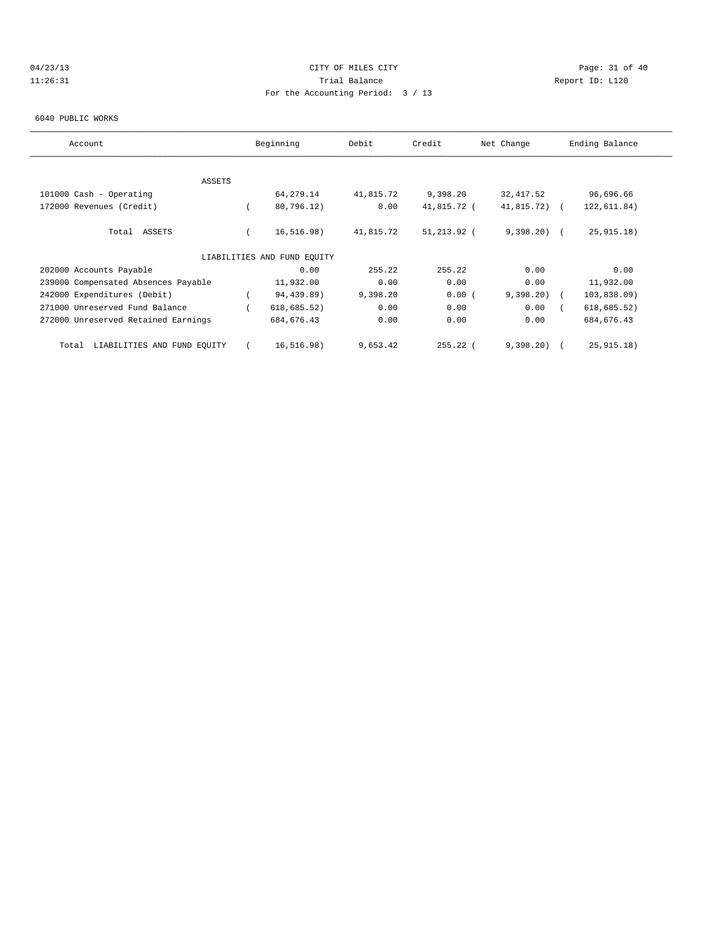# 04/23/13 Page: 31 of 40 11:26:31 Trial Balance Report ID: L120 For the Accounting Period: 3 / 13

#### 6040 PUBLIC WORKS

| Account                              | Beginning                   | Debit     | Credit      | Net Change   | Ending Balance |
|--------------------------------------|-----------------------------|-----------|-------------|--------------|----------------|
|                                      |                             |           |             |              |                |
| ASSETS                               |                             |           |             |              |                |
| 101000 Cash - Operating              | 64, 279. 14                 | 41,815.72 | 9,398.20    | 32, 417.52   | 96,696.66      |
| 172000 Revenues (Credit)             | 80,796.12)                  | 0.00      | 41,815.72 ( | 41,815.72)   | 122,611.84)    |
| Total ASSETS                         | 16, 516.98)                 | 41,815.72 | 51,213.92 ( | $9,398,20$ ( | 25, 915.18)    |
|                                      | LIABILITIES AND FUND EQUITY |           |             |              |                |
| 202000 Accounts Payable              | 0.00                        | 255.22    | 255.22      | 0.00         | 0.00           |
| 239000 Compensated Absences Payable  | 11,932.00                   | 0.00      | 0.00        | 0.00         | 11,932.00      |
| 242000 Expenditures (Debit)          | 94,439.89)                  | 9,398.20  | 0.00(       | 9,398.20     | 103,838.09     |
| 271000 Unreserved Fund Balance       | 618, 685.52)                | 0.00      | 0.00        | 0.00         | 618, 685.52)   |
| 272000 Unreserved Retained Earnings  | 684, 676.43                 | 0.00      | 0.00        | 0.00         | 684, 676.43    |
| LIABILITIES AND FUND EQUITY<br>Total | 16, 516.98)                 | 9,653.42  | $255.22$ (  | 9,398.20     | 25, 915.18)    |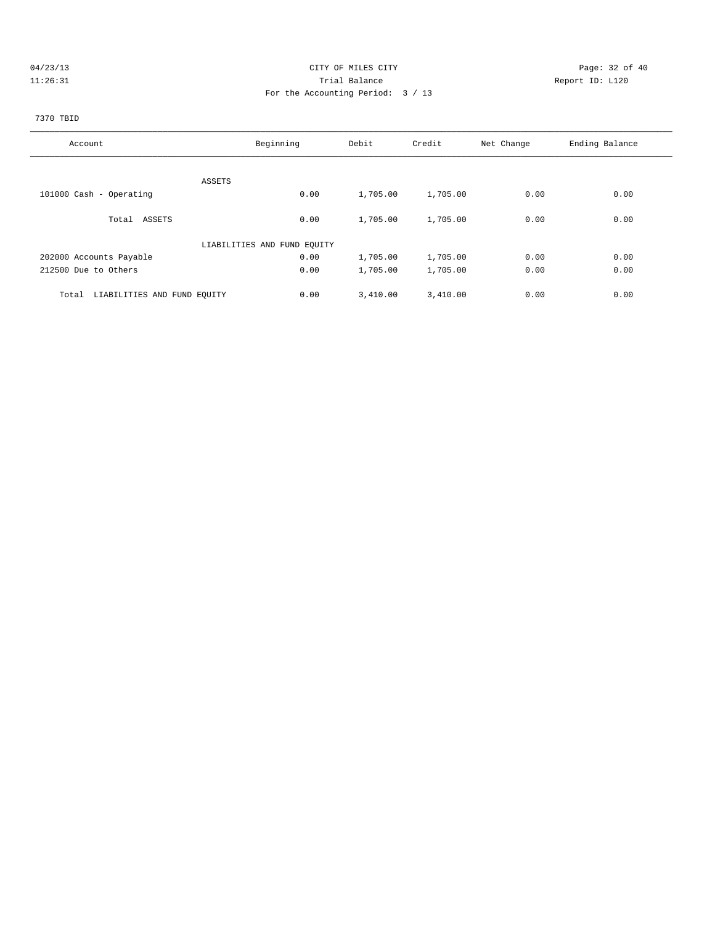# 04/23/13 Page: 32 of 40 11:26:31 Trial Balance Report ID: L120 For the Accounting Period: 3 / 13

# 7370 TBID

| Account                              | Beginning                   | Debit    | Credit   | Net Change | Ending Balance |
|--------------------------------------|-----------------------------|----------|----------|------------|----------------|
|                                      |                             |          |          |            |                |
|                                      | ASSETS                      |          |          |            |                |
| 101000 Cash - Operating              | 0.00                        | 1,705.00 | 1,705.00 | 0.00       | 0.00           |
| Total ASSETS                         | 0.00                        | 1,705.00 | 1,705.00 | 0.00       | 0.00           |
|                                      | LIABILITIES AND FUND EOUITY |          |          |            |                |
| 202000 Accounts Payable              | 0.00                        | 1,705.00 | 1,705.00 | 0.00       | 0.00           |
| 212500 Due to Others                 | 0.00                        | 1,705.00 | 1,705.00 | 0.00       | 0.00           |
| LIABILITIES AND FUND EQUITY<br>Total | 0.00                        | 3,410.00 | 3,410.00 | 0.00       | 0.00           |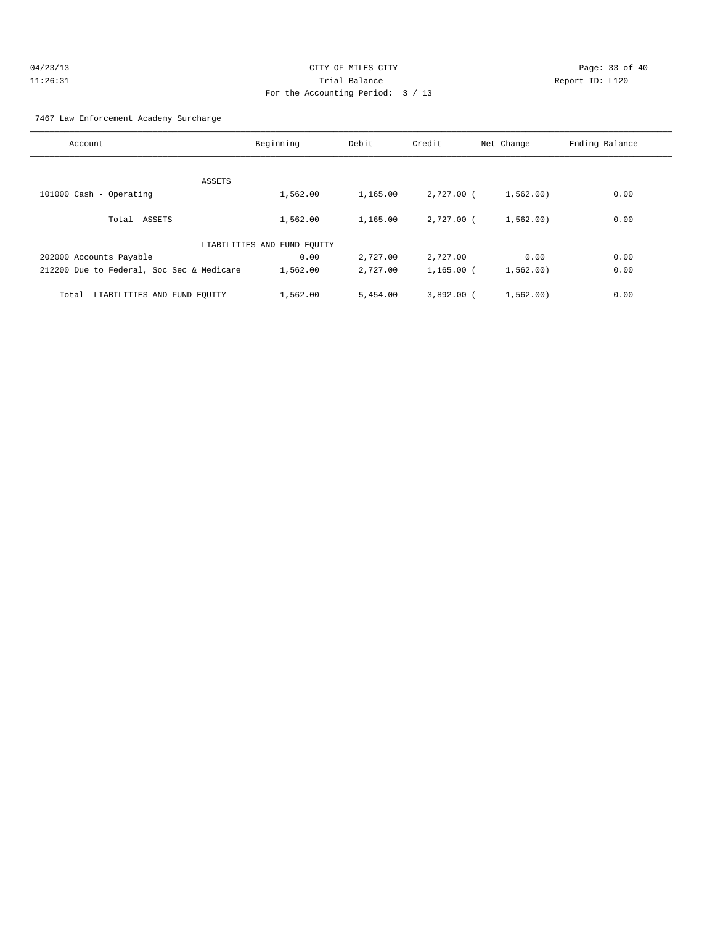| 04/23/13 | CITY OF MILES CITY                | Page: $33o$     |
|----------|-----------------------------------|-----------------|
| 11:26:31 | Trial Balance                     | Report ID: L120 |
|          | For the Accounting Period: 3 / 13 |                 |

Page: 33 of 40

# 7467 Law Enforcement Academy Surcharge

| Account                                   | Beginning                   | Debit    | Credit       | Net Change | Ending Balance |
|-------------------------------------------|-----------------------------|----------|--------------|------------|----------------|
|                                           |                             |          |              |            |                |
| ASSETS                                    |                             |          |              |            |                |
| 101000 Cash - Operating                   | 1,562.00                    | 1,165.00 | 2,727.00 (   | 1,562.00)  | 0.00           |
|                                           |                             |          |              |            |                |
| Total ASSETS                              | 1,562.00                    | 1,165.00 | $2.727.00$ ( | 1,562,00)  | 0.00           |
|                                           | LIABILITIES AND FUND EQUITY |          |              |            |                |
| 202000 Accounts Payable                   | 0.00                        | 2,727.00 | 2,727.00     | 0.00       | 0.00           |
| 212200 Due to Federal, Soc Sec & Medicare | 1,562.00                    | 2,727.00 | $1,165.00$ ( | 1,562.00)  | 0.00           |
| LIABILITIES AND FUND EQUITY<br>Total      | 1,562.00                    | 5,454.00 | $3.892.00$ ( | 1,562,00)  | 0.00           |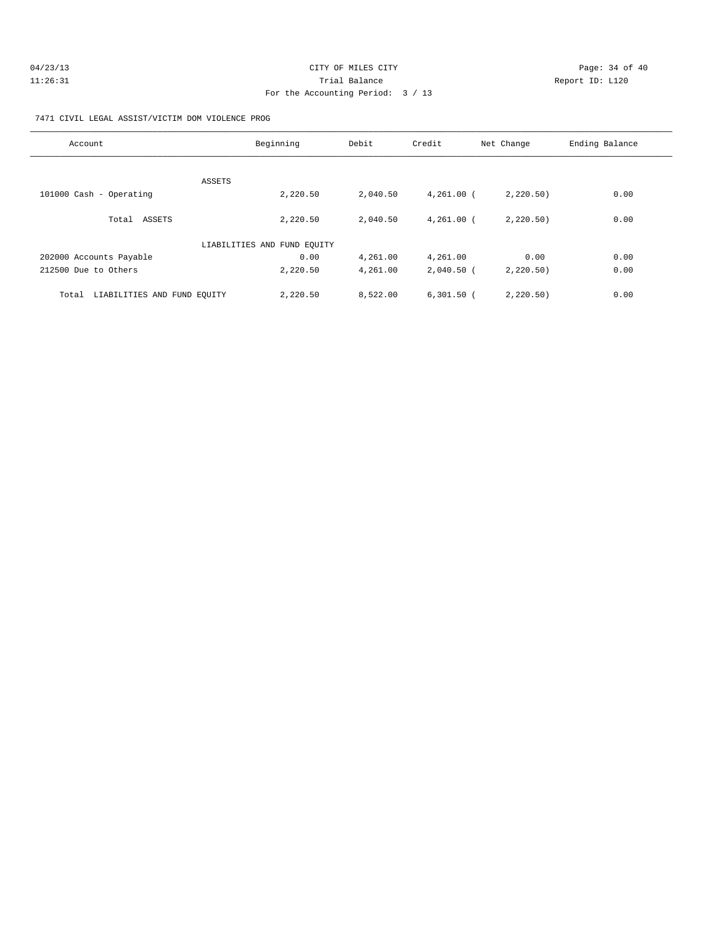| 04/23/13 | CITY OF MILES CITY                | Page: 34 of 40 |  |
|----------|-----------------------------------|----------------|--|
| 11:26:31 | Trial Balance<br>Report ID: L120  |                |  |
|          | For the Accounting Period: 3 / 13 |                |  |

#### 7471 CIVIL LEGAL ASSIST/VICTIM DOM VIOLENCE PROG

| Account                              | Beginning                   | Debit    | Credit       | Net Change | Ending Balance |
|--------------------------------------|-----------------------------|----------|--------------|------------|----------------|
| ASSETS                               |                             |          |              |            |                |
| 101000 Cash - Operating              | 2,220.50                    | 2,040.50 | $4,261.00$ ( | 2,220.50)  | 0.00           |
| Total ASSETS                         | 2,220.50                    | 2,040.50 | $4.261.00$ ( | 2,220.50   | 0.00           |
|                                      | LIABILITIES AND FUND EOUITY |          |              |            |                |
| 202000 Accounts Payable              | 0.00                        | 4,261.00 | 4,261.00     | 0.00       | 0.00           |
| 212500 Due to Others                 | 2,220.50                    | 4,261.00 | $2,040.50$ ( | 2,220.50)  | 0.00           |
| LIABILITIES AND FUND EQUITY<br>Total | 2,220.50                    | 8,522.00 | $6,301.50$ ( | 2,220,50)  | 0.00           |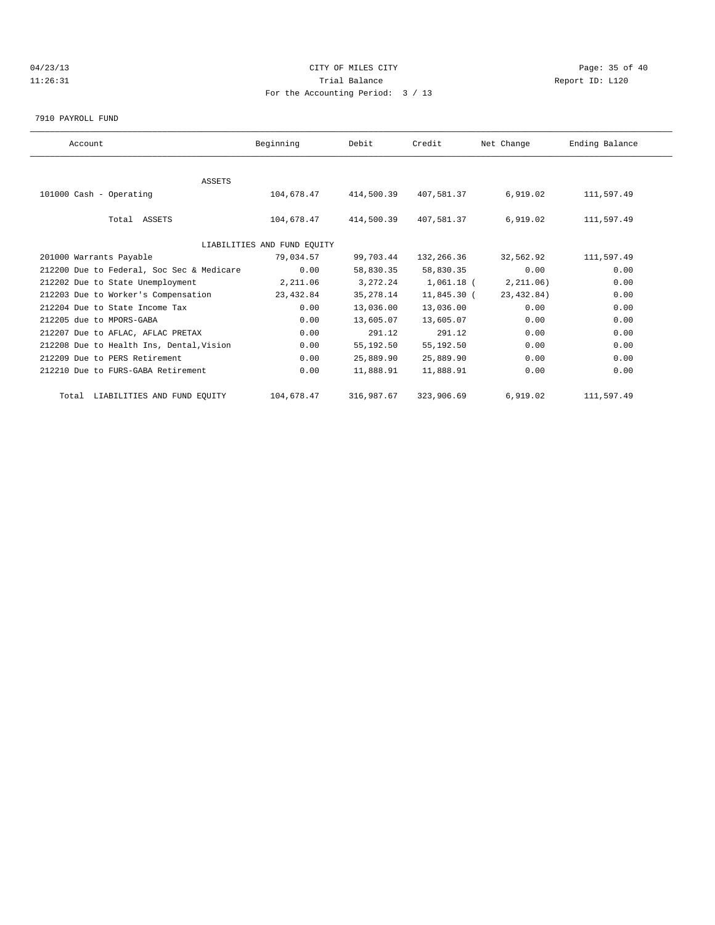# 04/23/13 Page: 35 of 40 11:26:31 Trial Balance Report ID: L120 For the Accounting Period: 3 / 13

7910 PAYROLL FUND

| Account                                   | Beginning                   | Debit      | Credit       | Net Change  | Ending Balance |  |
|-------------------------------------------|-----------------------------|------------|--------------|-------------|----------------|--|
|                                           |                             |            |              |             |                |  |
| ASSETS                                    |                             |            |              |             |                |  |
| 101000 Cash - Operating                   | 104,678.47                  | 414,500.39 | 407,581.37   | 6,919.02    | 111,597.49     |  |
| Total ASSETS                              | 104,678.47                  | 414,500.39 | 407,581.37   | 6,919.02    | 111,597.49     |  |
|                                           | LIABILITIES AND FUND EQUITY |            |              |             |                |  |
| 201000 Warrants Payable                   | 79,034.57                   | 99,703.44  | 132,266.36   | 32,562.92   | 111,597.49     |  |
| 212200 Due to Federal, Soc Sec & Medicare | 0.00                        | 58,830.35  | 58,830.35    | 0.00        | 0.00           |  |
| 212202 Due to State Unemployment          | 2,211.06                    | 3,272.24   | $1,061.18$ ( | 2, 211.06)  | 0.00           |  |
| 212203 Due to Worker's Compensation       | 23,432.84                   | 35, 278.14 | 11,845.30 (  | 23, 432.84) | 0.00           |  |
| 212204 Due to State Income Tax            | 0.00                        | 13,036.00  | 13,036.00    | 0.00        | 0.00           |  |
| 212205 due to MPORS-GABA                  | 0.00                        | 13,605.07  | 13,605.07    | 0.00        | 0.00           |  |
| 212207 Due to AFLAC, AFLAC PRETAX         | 0.00                        | 291.12     | 291.12       | 0.00        | 0.00           |  |
| 212208 Due to Health Ins, Dental, Vision  | 0.00                        | 55,192.50  | 55,192.50    | 0.00        | 0.00           |  |
| 212209 Due to PERS Retirement             | 0.00                        | 25,889.90  | 25,889.90    | 0.00        | 0.00           |  |
| 212210 Due to FURS-GABA Retirement        | 0.00                        | 11,888.91  | 11,888.91    | 0.00        | 0.00           |  |
| Total LIABILITIES AND FUND EQUITY         | 104,678.47                  | 316,987.67 | 323,906.69   | 6,919.02    | 111,597.49     |  |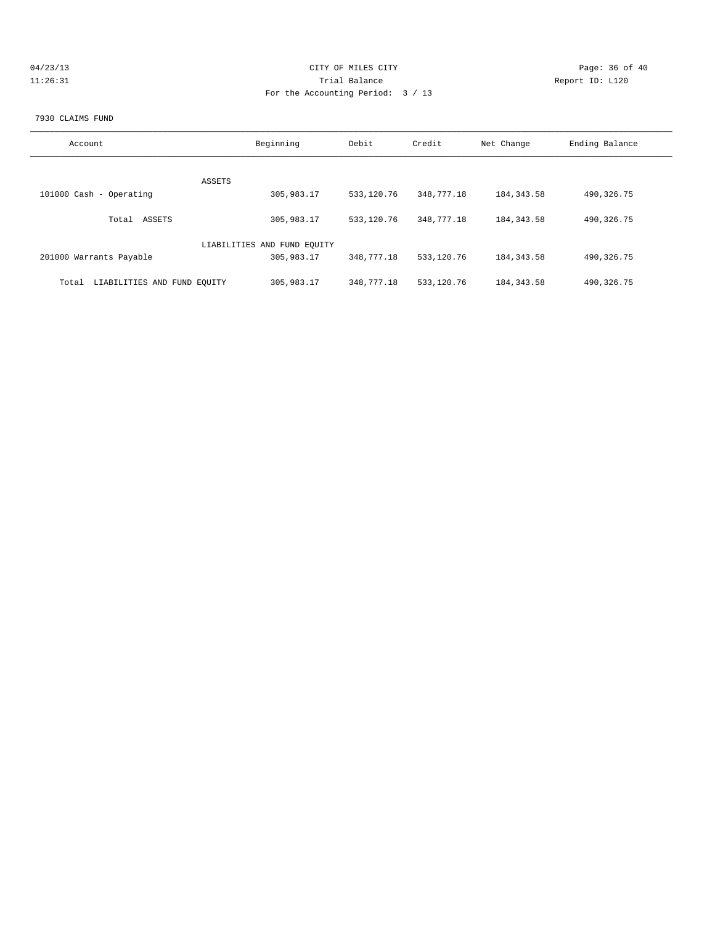| 04/23/13 | CITY OF MILES CITY                | Page: 36 of 40  |
|----------|-----------------------------------|-----------------|
| 11:26:31 | Trial Balance                     | Report ID: L120 |
|          | For the Accounting Period: 3 / 13 |                 |
|          |                                   |                 |

#### 7930 CLAIMS FUND

| Account                              | Beginning                   | Debit      | Credit     | Net Change  | Ending Balance |
|--------------------------------------|-----------------------------|------------|------------|-------------|----------------|
|                                      |                             |            |            |             |                |
|                                      | ASSETS                      |            |            |             |                |
| 101000 Cash - Operating              | 305,983.17                  | 533,120.76 | 348,777.18 | 184, 343.58 | 490, 326.75    |
|                                      |                             |            |            |             |                |
| ASSETS<br>Total                      | 305,983.17                  | 533,120.76 | 348,777.18 | 184, 343.58 | 490, 326.75    |
|                                      | LIABILITIES AND FUND EQUITY |            |            |             |                |
| 201000 Warrants Payable              | 305,983.17                  | 348,777.18 | 533,120.76 | 184, 343.58 | 490, 326.75    |
|                                      |                             |            |            |             |                |
| LIABILITIES AND FUND EQUITY<br>Total | 305,983.17                  | 348,777.18 | 533,120.76 | 184, 343.58 | 490, 326.75    |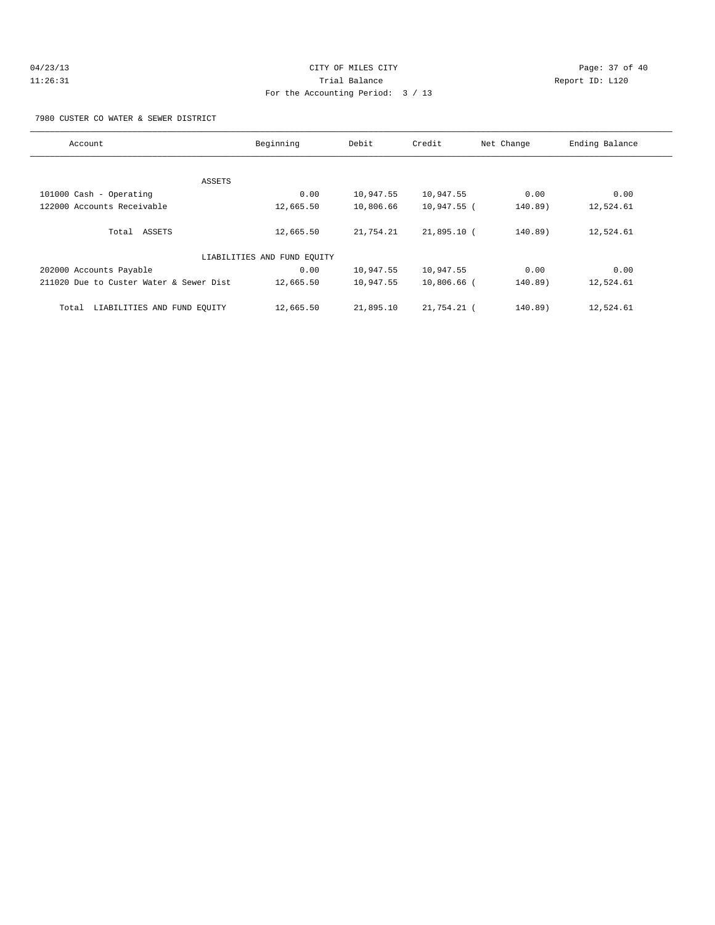#### 7980 CUSTER CO WATER & SEWER DISTRICT

| Account                                 | Beginning                   | Debit     | Credit        | Net Change | Ending Balance |
|-----------------------------------------|-----------------------------|-----------|---------------|------------|----------------|
|                                         |                             |           |               |            |                |
|                                         | ASSETS                      |           |               |            |                |
| 101000 Cash - Operating                 | 0.00                        | 10,947.55 | 10,947.55     | 0.00       | 0.00           |
| 122000 Accounts Receivable              | 12,665.50                   | 10,806.66 | 10,947.55 (   | 140.89)    | 12,524.61      |
| Total ASSETS                            | 12,665.50                   | 21,754.21 | $21,895.10$ ( | 140.89)    | 12,524.61      |
|                                         | LIABILITIES AND FUND EQUITY |           |               |            |                |
| 202000 Accounts Payable                 | 0.00                        | 10,947.55 | 10,947.55     | 0.00       | 0.00           |
| 211020 Due to Custer Water & Sewer Dist | 12,665.50                   | 10,947.55 | 10,806.66 (   | $140.89$ ) | 12,524.61      |
| LIABILITIES AND FUND EQUITY<br>Total    | 12,665.50                   | 21,895.10 | 21,754.21 (   | 140.89)    | 12,524.61      |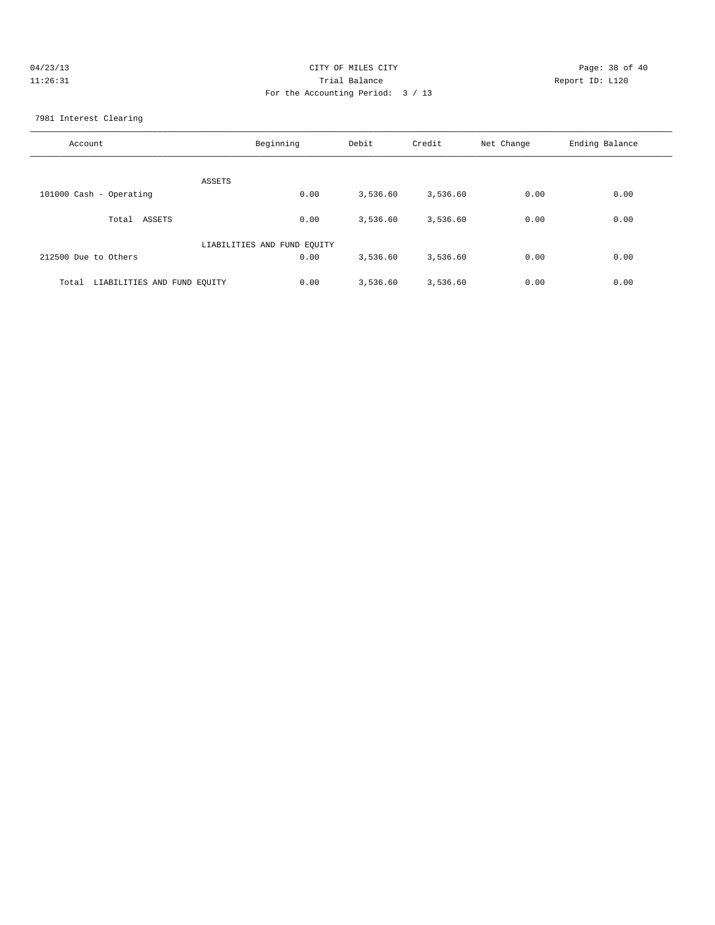| 04/23/13 | CITY OF MILES CITY                | Page: 38 of 40  |
|----------|-----------------------------------|-----------------|
| 11:26:31 | Trial Balance                     | Report ID: L120 |
|          | For the Accounting Period: 3 / 13 |                 |

7981 Interest Clearing

| Account                              | Beginning | Debit    | Credit   | Net Change | Ending Balance |
|--------------------------------------|-----------|----------|----------|------------|----------------|
| ASSETS                               |           |          |          |            |                |
| 101000 Cash - Operating              | 0.00      | 3,536.60 | 3,536.60 | 0.00       | 0.00           |
| Total<br>ASSETS                      | 0.00      | 3,536.60 | 3,536.60 | 0.00       | 0.00           |
| LIABILITIES AND FUND EQUITY          |           |          |          |            |                |
| 212500 Due to Others                 | 0.00      | 3,536.60 | 3,536.60 | 0.00       | 0.00           |
| LIABILITIES AND FUND EQUITY<br>Total | 0.00      | 3,536.60 | 3,536.60 | 0.00       | 0.00           |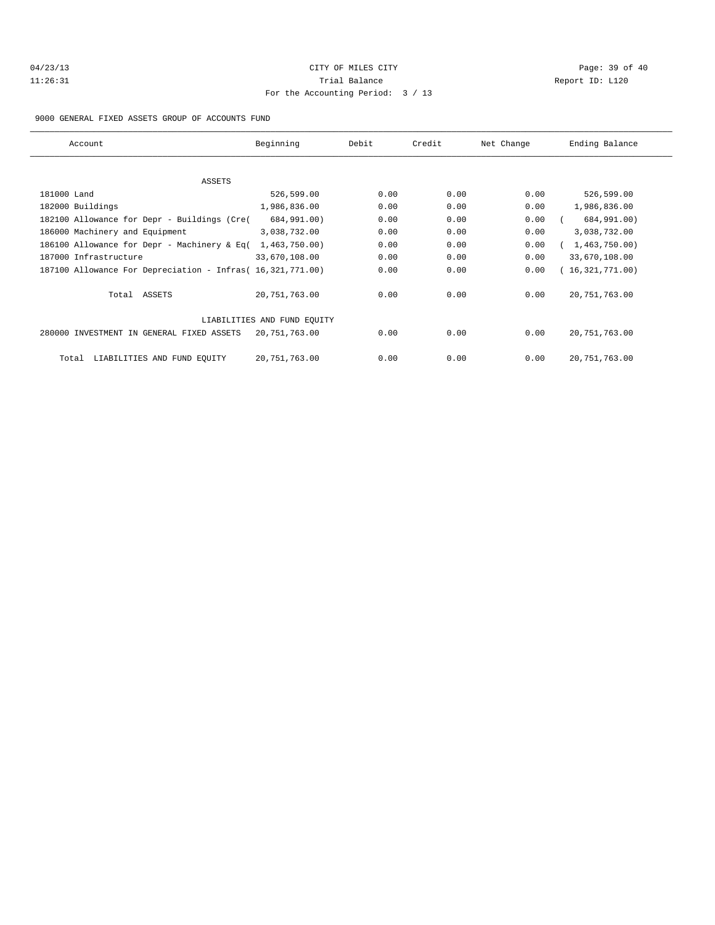| 04/23/13 |
|----------|
| 11:26:31 |

# CITY OF MILES CITY CONTROL CONTROL CONTROL CONTROL CONTROL PAGE: 39 of 40 11:31 Balance 2012 12:31 Report ID: L120 For the Accounting Period: 3 / 13

9000 GENERAL FIXED ASSETS GROUP OF ACCOUNTS FUND

| Account                                                    | Beginning     | Debit | Credit | Net Change | Ending Balance  |
|------------------------------------------------------------|---------------|-------|--------|------------|-----------------|
|                                                            |               |       |        |            |                 |
| <b>ASSETS</b>                                              |               |       |        |            |                 |
| 181000 Land                                                | 526,599.00    | 0.00  | 0.00   | 0.00       | 526,599.00      |
| 182000 Buildings                                           | 1,986,836.00  | 0.00  | 0.00   | 0.00       | 1,986,836.00    |
| 182100 Allowance for Depr - Buildings (Cre(                | 684,991.00)   | 0.00  | 0.00   | 0.00       | 684,991.00)     |
| 186000 Machinery and Equipment                             | 3,038,732.00  | 0.00  | 0.00   | 0.00       | 3,038,732.00    |
| 186100 Allowance for Depr - Machinery & Eq(                | 1,463,750.00) | 0.00  | 0.00   | 0.00       | 1,463,750.00    |
| 187000 Infrastructure                                      | 33,670,108.00 | 0.00  | 0.00   | 0.00       | 33,670,108.00   |
| 187100 Allowance For Depreciation - Infras( 16,321,771.00) |               | 0.00  | 0.00   | 0.00       | 16,321,771.00   |
| Total ASSETS                                               | 20,751,763.00 | 0.00  | 0.00   | 0.00       | 20, 751, 763.00 |
| LIABILITIES AND FUND EOUITY                                |               |       |        |            |                 |
| 280000 INVESTMENT IN GENERAL FIXED ASSETS                  | 20,751,763.00 | 0.00  | 0.00   | 0.00       | 20, 751, 763.00 |
| LIABILITIES AND FUND EQUITY<br>Total                       | 20,751,763.00 | 0.00  | 0.00   | 0.00       | 20, 751, 763.00 |